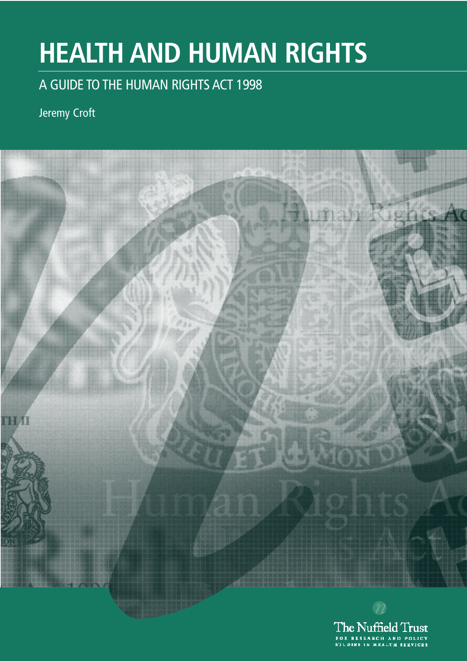# **HEALTH AND HUMAN RIGHTS**

### A GUIDE TO THE HUMAN RIGHTS ACT 1998

### Jeremy Croft



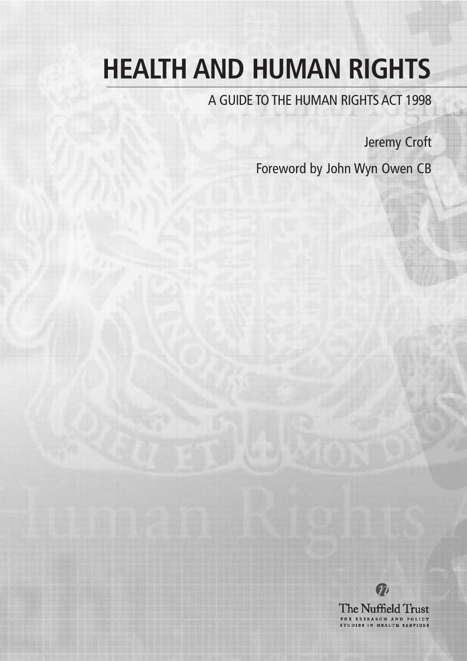# **HEALTH AND HUMAN RIGHTS**

A GUIDE TO THE HUMAN RIGHTS ACT 1998

Jeremy Croft

Foreword by John Wyn Owen CB



M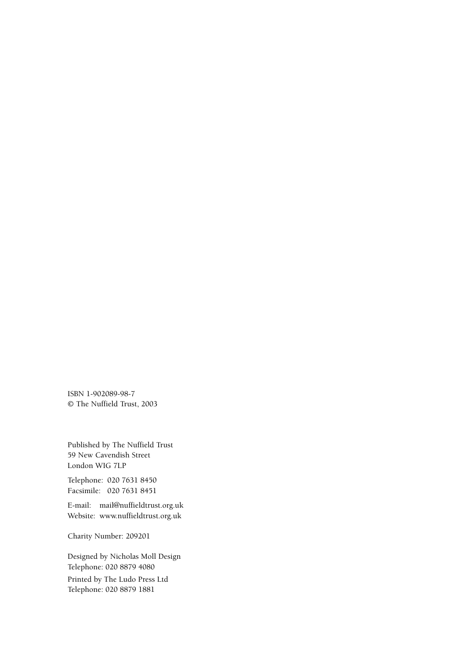ISBN 1-902089-98-7 © The Nuffield Trust, 2003

Published by The Nuffield Trust 59 New Cavendish Street London WIG 7LP

Telephone: 020 7631 8450 Facsimile: 020 7631 8451

E-mail: mail@nuffieldtrust.org.uk Website: www.nuffieldtrust.org.uk

Charity Number: 209201

Designed by Nicholas Moll Design Telephone: 020 8879 4080

Printed by The Ludo Press Ltd Telephone: 020 8879 1881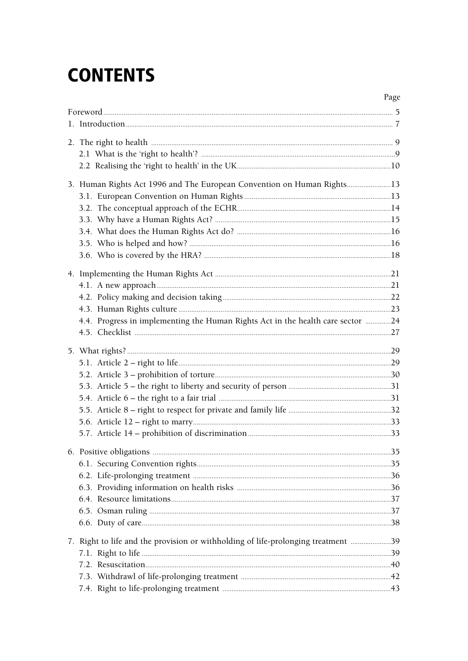## **CONTENTS**

| 3. Human Rights Act 1996 and The European Convention on Human Rights13            |  |
|-----------------------------------------------------------------------------------|--|
|                                                                                   |  |
|                                                                                   |  |
|                                                                                   |  |
|                                                                                   |  |
|                                                                                   |  |
|                                                                                   |  |
|                                                                                   |  |
|                                                                                   |  |
|                                                                                   |  |
|                                                                                   |  |
| 4.4. Progress in implementing the Human Rights Act in the health care sector 24   |  |
|                                                                                   |  |
|                                                                                   |  |
|                                                                                   |  |
|                                                                                   |  |
|                                                                                   |  |
|                                                                                   |  |
|                                                                                   |  |
|                                                                                   |  |
|                                                                                   |  |
|                                                                                   |  |
|                                                                                   |  |
|                                                                                   |  |
|                                                                                   |  |
|                                                                                   |  |
|                                                                                   |  |
|                                                                                   |  |
|                                                                                   |  |
| 7. Right to life and the provision or withholding of life-prolonging treatment 39 |  |
|                                                                                   |  |
|                                                                                   |  |
|                                                                                   |  |
|                                                                                   |  |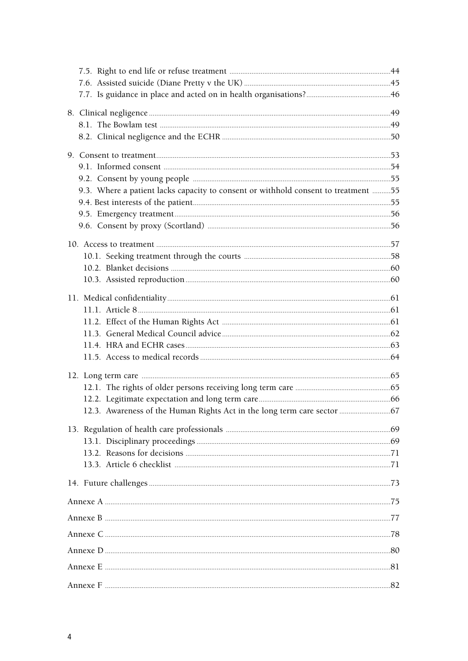| 9.3. Where a patient lacks capacity to consent or withhold consent to treatment 55 |  |
|------------------------------------------------------------------------------------|--|
|                                                                                    |  |
|                                                                                    |  |
|                                                                                    |  |
|                                                                                    |  |
|                                                                                    |  |
|                                                                                    |  |
|                                                                                    |  |
|                                                                                    |  |
|                                                                                    |  |
|                                                                                    |  |
|                                                                                    |  |
|                                                                                    |  |
|                                                                                    |  |
|                                                                                    |  |
|                                                                                    |  |
|                                                                                    |  |
|                                                                                    |  |
|                                                                                    |  |
|                                                                                    |  |
|                                                                                    |  |
|                                                                                    |  |
|                                                                                    |  |
|                                                                                    |  |
|                                                                                    |  |
|                                                                                    |  |
|                                                                                    |  |
|                                                                                    |  |
|                                                                                    |  |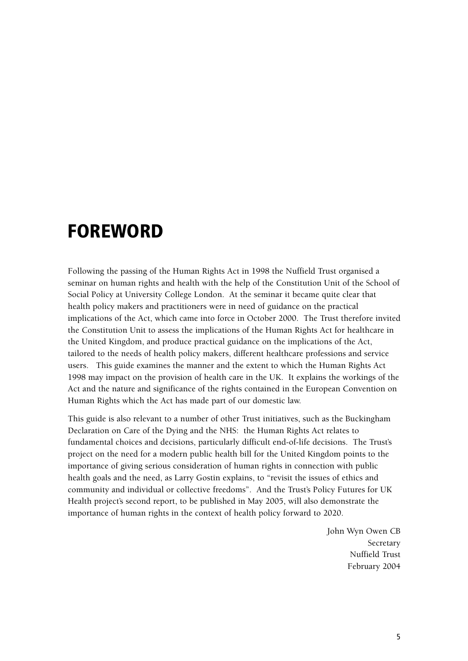### **FOREWORD**

Following the passing of the Human Rights Act in 1998 the Nuffield Trust organised a seminar on human rights and health with the help of the Constitution Unit of the School of Social Policy at University College London. At the seminar it became quite clear that health policy makers and practitioners were in need of guidance on the practical implications of the Act, which came into force in October 2000. The Trust therefore invited the Constitution Unit to assess the implications of the Human Rights Act for healthcare in the United Kingdom, and produce practical guidance on the implications of the Act, tailored to the needs of health policy makers, different healthcare professions and service users. This guide examines the manner and the extent to which the Human Rights Act 1998 may impact on the provision of health care in the UK. It explains the workings of the Act and the nature and significance of the rights contained in the European Convention on Human Rights which the Act has made part of our domestic law.

This guide is also relevant to a number of other Trust initiatives, such as the Buckingham Declaration on Care of the Dying and the NHS: the Human Rights Act relates to fundamental choices and decisions, particularly difficult end-of-life decisions. The Trust's project on the need for a modern public health bill for the United Kingdom points to the importance of giving serious consideration of human rights in connection with public health goals and the need, as Larry Gostin explains, to "revisit the issues of ethics and community and individual or collective freedoms". And the Trust's Policy Futures for UK Health project's second report, to be published in May 2005, will also demonstrate the importance of human rights in the context of health policy forward to 2020.

> John Wyn Owen CB Secretary Nuffield Trust February 2004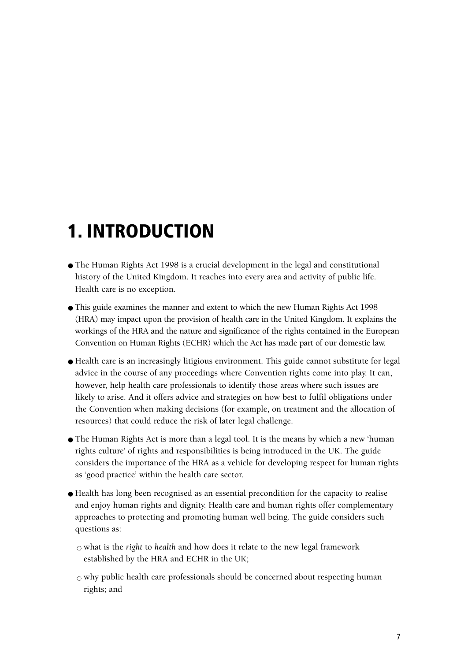### **1. INTRODUCTION**

- The Human Rights Act 1998 is a crucial development in the legal and constitutional history of the United Kingdom. It reaches into every area and activity of public life. Health care is no exception.
- This guide examines the manner and extent to which the new Human Rights Act 1998 (HRA) may impact upon the provision of health care in the United Kingdom. It explains the workings of the HRA and the nature and significance of the rights contained in the European Convention on Human Rights (ECHR) which the Act has made part of our domestic law.
- Health care is an increasingly litigious environment. This guide cannot substitute for legal advice in the course of any proceedings where Convention rights come into play. It can, however, help health care professionals to identify those areas where such issues are likely to arise. And it offers advice and strategies on how best to fulfil obligations under the Convention when making decisions (for example, on treatment and the allocation of resources) that could reduce the risk of later legal challenge.
- The Human Rights Act is more than a legal tool. It is the means by which a new 'human rights culture' of rights and responsibilities is being introduced in the UK. The guide considers the importance of the HRA as a vehicle for developing respect for human rights as 'good practice' within the health care sector.
- Health has long been recognised as an essential precondition for the capacity to realise and enjoy human rights and dignity. Health care and human rights offer complementary approaches to protecting and promoting human well being. The guide considers such questions as:
	- $\circ$  what is the *right* to *health* and how does it relate to the new legal framework established by the HRA and ECHR in the UK;
	- $\circ$  why public health care professionals should be concerned about respecting human rights; and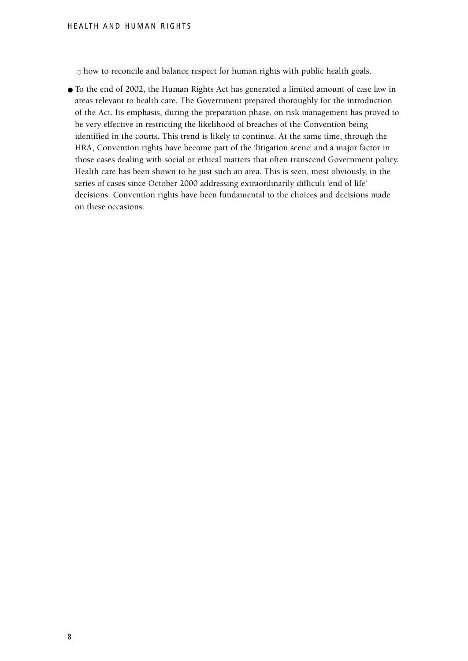$\circ$  how to reconcile and balance respect for human rights with public health goals.

● To the end of 2002, the Human Rights Act has generated a limited amount of case law in areas relevant to health care. The Government prepared thoroughly for the introduction of the Act. Its emphasis, during the preparation phase, on risk management has proved to be very effective in restricting the likelihood of breaches of the Convention being identified in the courts. This trend is likely to continue. At the same time, through the HRA, Convention rights have become part of the 'litigation scene' and a major factor in those cases dealing with social or ethical matters that often transcend Government policy. Health care has been shown to be just such an area. This is seen, most obviously, in the series of cases since October 2000 addressing extraordinarily difficult 'end of life' decisions. Convention rights have been fundamental to the choices and decisions made on these occasions.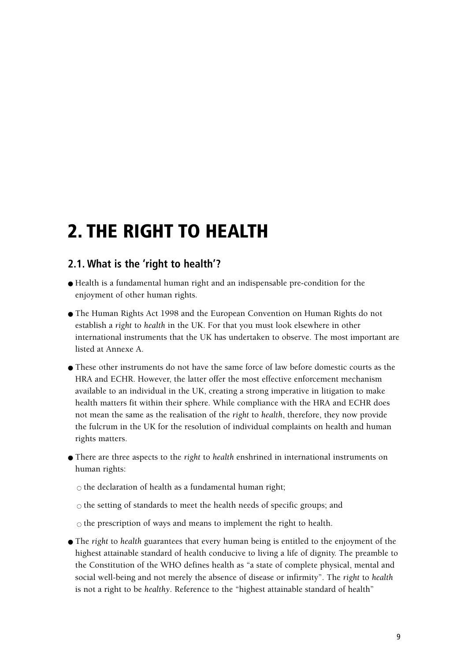### **2. THE RIGHT TO HEALTH**

#### **2.1. What is the 'right to health'?**

- Health is a fundamental human right and an indispensable pre-condition for the enjoyment of other human rights.
- The Human Rights Act 1998 and the European Convention on Human Rights do not establish a *right* to *health* in the UK. For that you must look elsewhere in other international instruments that the UK has undertaken to observe. The most important are listed at Annexe A.
- These other instruments do not have the same force of law before domestic courts as the HRA and ECHR. However, the latter offer the most effective enforcement mechanism available to an individual in the UK, creating a strong imperative in litigation to make health matters fit within their sphere. While compliance with the HRA and ECHR does not mean the same as the realisation of the *right* to *health*, therefore, they now provide the fulcrum in the UK for the resolution of individual complaints on health and human rights matters.
- There are three aspects to the *right* to *health* enshrined in international instruments on human rights:

 $\circ$  the declaration of health as a fundamental human right;

 $\circ$  the setting of standards to meet the health needs of specific groups; and

 $\circ$  the prescription of ways and means to implement the right to health.

● The *right* to *health* guarantees that every human being is entitled to the enjoyment of the highest attainable standard of health conducive to living a life of dignity. The preamble to the Constitution of the WHO defines health as "a state of complete physical, mental and social well-being and not merely the absence of disease or infirmity". The *right* to *health* is not a right to be *healthy*. Reference to the "highest attainable standard of health"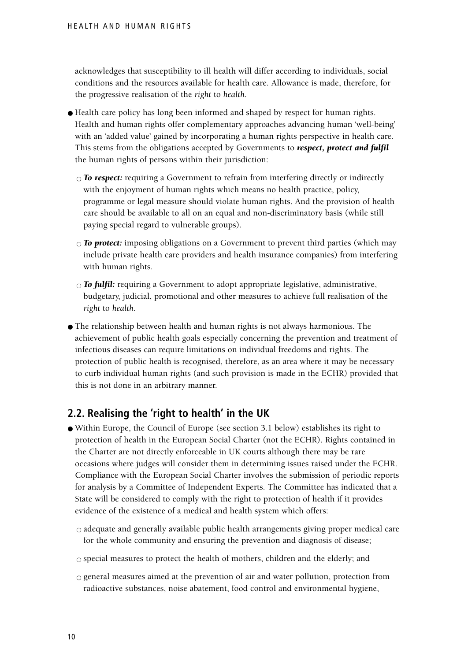acknowledges that susceptibility to ill health will differ according to individuals, social conditions and the resources available for health care. Allowance is made, therefore, for the progressive realisation of the *right* to *health*.

- Health care policy has long been informed and shaped by respect for human rights. Health and human rights offer complementary approaches advancing human 'well-being' with an 'added value' gained by incorporating a human rights perspective in health care. This stems from the obligations accepted by Governments to *respect, protect and fulfil* the human rights of persons within their jurisdiction:
	- $\circ$  **To respect:** requiring a Government to refrain from interfering directly or indirectly with the enjoyment of human rights which means no health practice, policy, programme or legal measure should violate human rights. And the provision of health care should be available to all on an equal and non-discriminatory basis (while still paying special regard to vulnerable groups).
	- *To protect:* imposing obligations on a Government to prevent third parties (which may include private health care providers and health insurance companies) from interfering with human rights.
	- $\circ$  **To fulfil:** requiring a Government to adopt appropriate legislative, administrative, budgetary, judicial, promotional and other measures to achieve full realisation of the *right* to *health*.
- The relationship between health and human rights is not always harmonious. The achievement of public health goals especially concerning the prevention and treatment of infectious diseases can require limitations on individual freedoms and rights. The protection of public health is recognised, therefore, as an area where it may be necessary to curb individual human rights (and such provision is made in the ECHR) provided that this is not done in an arbitrary manner.

#### **2.2. Realising the 'right to health' in the UK**

- Within Europe, the Council of Europe (see section 3.1 below) establishes its right to protection of health in the European Social Charter (not the ECHR). Rights contained in the Charter are not directly enforceable in UK courts although there may be rare occasions where judges will consider them in determining issues raised under the ECHR. Compliance with the European Social Charter involves the submission of periodic reports for analysis by a Committee of Independent Experts. The Committee has indicated that a State will be considered to comply with the right to protection of health if it provides evidence of the existence of a medical and health system which offers:
	- $\circ$  adequate and generally available public health arrangements giving proper medical care for the whole community and ensuring the prevention and diagnosis of disease;
	- $\circ$  special measures to protect the health of mothers, children and the elderly; and
	- $\circ$  general measures aimed at the prevention of air and water pollution, protection from radioactive substances, noise abatement, food control and environmental hygiene,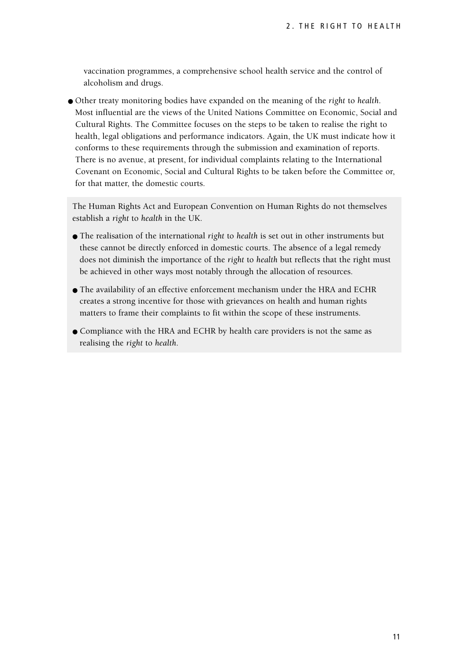vaccination programmes, a comprehensive school health service and the control of alcoholism and drugs.

● Other treaty monitoring bodies have expanded on the meaning of the *right* to *health*. Most influential are the views of the United Nations Committee on Economic, Social and Cultural Rights. The Committee focuses on the steps to be taken to realise the right to health, legal obligations and performance indicators. Again, the UK must indicate how it conforms to these requirements through the submission and examination of reports. There is no avenue, at present, for individual complaints relating to the International Covenant on Economic, Social and Cultural Rights to be taken before the Committee or, for that matter, the domestic courts.

The Human Rights Act and European Convention on Human Rights do not themselves establish a *right* to *health* in the UK.

- The realisation of the international *right* to *health* is set out in other instruments but these cannot be directly enforced in domestic courts. The absence of a legal remedy does not diminish the importance of the *right* to *health* but reflects that the right must be achieved in other ways most notably through the allocation of resources.
- The availability of an effective enforcement mechanism under the HRA and ECHR creates a strong incentive for those with grievances on health and human rights matters to frame their complaints to fit within the scope of these instruments.
- Compliance with the HRA and ECHR by health care providers is not the same as realising the *right* to *health*.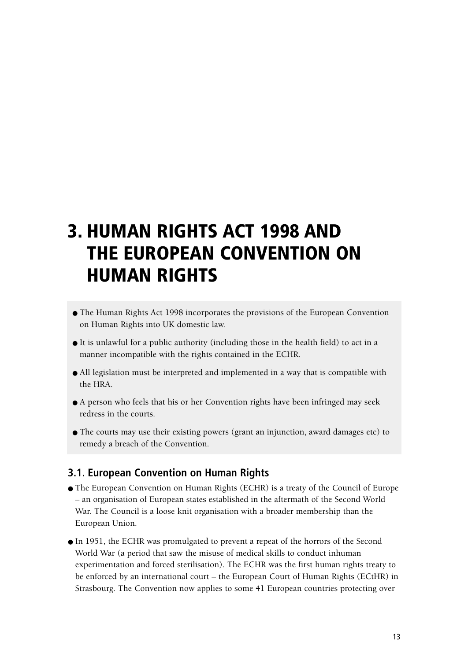### **3. HUMAN RIGHTS ACT 1998 AND THE EUROPEAN CONVENTION ON HUMAN RIGHTS**

- The Human Rights Act 1998 incorporates the provisions of the European Convention on Human Rights into UK domestic law.
- It is unlawful for a public authority (including those in the health field) to act in a manner incompatible with the rights contained in the ECHR.
- All legislation must be interpreted and implemented in a way that is compatible with the HRA.
- A person who feels that his or her Convention rights have been infringed may seek redress in the courts.
- The courts may use their existing powers (grant an injunction, award damages etc) to remedy a breach of the Convention.

#### **3.1. European Convention on Human Rights**

- The European Convention on Human Rights (ECHR) is a treaty of the Council of Europe – an organisation of European states established in the aftermath of the Second World War. The Council is a loose knit organisation with a broader membership than the European Union.
- In 1951, the ECHR was promulgated to prevent a repeat of the horrors of the Second World War (a period that saw the misuse of medical skills to conduct inhuman experimentation and forced sterilisation). The ECHR was the first human rights treaty to be enforced by an international court – the European Court of Human Rights (ECtHR) in Strasbourg. The Convention now applies to some 41 European countries protecting over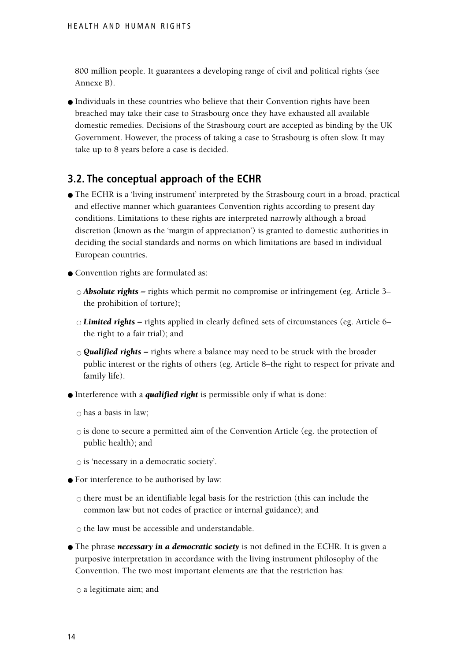800 million people. It guarantees a developing range of civil and political rights (see Annexe B).

● Individuals in these countries who believe that their Convention rights have been breached may take their case to Strasbourg once they have exhausted all available domestic remedies. Decisions of the Strasbourg court are accepted as binding by the UK Government. However, the process of taking a case to Strasbourg is often slow. It may take up to 8 years before a case is decided.

#### **3.2. The conceptual approach of the ECHR**

- The ECHR is a 'living instrument' interpreted by the Strasbourg court in a broad, practical and effective manner which guarantees Convention rights according to present day conditions. Limitations to these rights are interpreted narrowly although a broad discretion (known as the 'margin of appreciation') is granted to domestic authorities in deciding the social standards and norms on which limitations are based in individual European countries.
- Convention rights are formulated as:
	- *Absolute rights* rights which permit no compromise or infringement (eg. Article 3– the prohibition of torture);
	- *Limited rights –* rights applied in clearly defined sets of circumstances (eg. Article 6– the right to a fair trial); and
	- *Qualified rights –* rights where a balance may need to be struck with the broader public interest or the rights of others (eg. Article 8–the right to respect for private and family life).
- Interference with a *qualified right* is permissible only if what is done:

 $\circ$  has a basis in law:

- $\circ$  is done to secure a permitted aim of the Convention Article (eg. the protection of public health); and
- $\circ$  is 'necessary in a democratic society'.
- For interference to be authorised by law:
	- $\circ$  there must be an identifiable legal basis for the restriction (this can include the common law but not codes of practice or internal guidance); and

 $\circ$  the law must be accessible and understandable.

● The phrase *necessary in a democratic society* is not defined in the ECHR. It is given a purposive interpretation in accordance with the living instrument philosophy of the Convention. The two most important elements are that the restriction has:

 $\circ$  a legitimate aim; and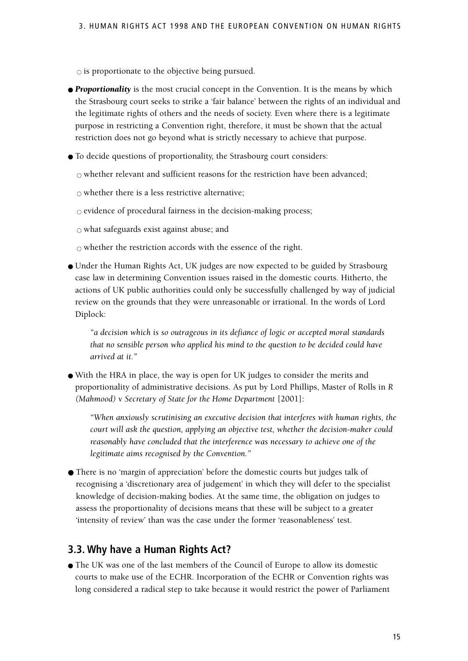$\circ$  is proportionate to the objective being pursued.

- *Proportionality* is the most crucial concept in the Convention. It is the means by which the Strasbourg court seeks to strike a 'fair balance' between the rights of an individual and the legitimate rights of others and the needs of society. Even where there is a legitimate purpose in restricting a Convention right, therefore, it must be shown that the actual restriction does not go beyond what is strictly necessary to achieve that purpose.
- To decide questions of proportionality, the Strasbourg court considers:

 $\circ$  whether relevant and sufficient reasons for the restriction have been advanced:

 $\circ$  whether there is a less restrictive alternative;

 $\circ$  evidence of procedural fairness in the decision-making process;

 $\circ$  what safeguards exist against abuse; and

 $\circ$  whether the restriction accords with the essence of the right.

● Under the Human Rights Act, UK judges are now expected to be guided by Strasbourg case law in determining Convention issues raised in the domestic courts. Hitherto, the actions of UK public authorities could only be successfully challenged by way of judicial review on the grounds that they were unreasonable or irrational. In the words of Lord Diplock:

*"a decision which is so outrageous in its defiance of logic or accepted moral standards that no sensible person who applied his mind to the question to be decided could have arrived at it."*

● With the HRA in place, the way is open for UK judges to consider the merits and proportionality of administrative decisions. As put by Lord Phillips, Master of Rolls in *R (Mahmood) v Secretary of State for the Home Department* [2001]:

*"When anxiously scrutinising an executive decision that interferes with human rights, the court will ask the question, applying an objective test, whether the decision-maker could reasonably have concluded that the interference was necessary to achieve one of the legitimate aims recognised by the Convention."*

● There is no 'margin of appreciation' before the domestic courts but judges talk of recognising a 'discretionary area of judgement' in which they will defer to the specialist knowledge of decision-making bodies. At the same time, the obligation on judges to assess the proportionality of decisions means that these will be subject to a greater 'intensity of review' than was the case under the former 'reasonableness' test.

#### **3.3. Why have a Human Rights Act?**

● The UK was one of the last members of the Council of Europe to allow its domestic courts to make use of the ECHR. Incorporation of the ECHR or Convention rights was long considered a radical step to take because it would restrict the power of Parliament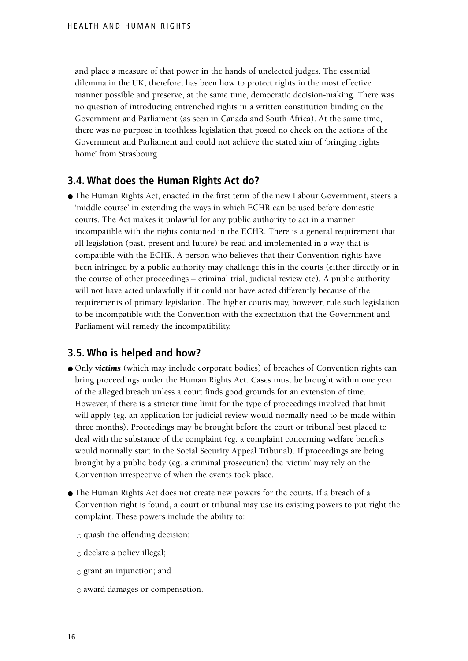and place a measure of that power in the hands of unelected judges. The essential dilemma in the UK, therefore, has been how to protect rights in the most effective manner possible and preserve, at the same time, democratic decision-making. There was no question of introducing entrenched rights in a written constitution binding on the Government and Parliament (as seen in Canada and South Africa). At the same time, there was no purpose in toothless legislation that posed no check on the actions of the Government and Parliament and could not achieve the stated aim of 'bringing rights home' from Strasbourg.

#### **3.4. What does the Human Rights Act do?**

● The Human Rights Act, enacted in the first term of the new Labour Government, steers a 'middle course' in extending the ways in which ECHR can be used before domestic courts. The Act makes it unlawful for any public authority to act in a manner incompatible with the rights contained in the ECHR. There is a general requirement that all legislation (past, present and future) be read and implemented in a way that is compatible with the ECHR. A person who believes that their Convention rights have been infringed by a public authority may challenge this in the courts (either directly or in the course of other proceedings – criminal trial, judicial review etc). A public authority will not have acted unlawfully if it could not have acted differently because of the requirements of primary legislation. The higher courts may, however, rule such legislation to be incompatible with the Convention with the expectation that the Government and Parliament will remedy the incompatibility.

#### **3.5. Who is helped and how?**

- Only *victims* (which may include corporate bodies) of breaches of Convention rights can bring proceedings under the Human Rights Act. Cases must be brought within one year of the alleged breach unless a court finds good grounds for an extension of time. However, if there is a stricter time limit for the type of proceedings involved that limit will apply (eg. an application for judicial review would normally need to be made within three months). Proceedings may be brought before the court or tribunal best placed to deal with the substance of the complaint (eg. a complaint concerning welfare benefits would normally start in the Social Security Appeal Tribunal). If proceedings are being brought by a public body (eg. a criminal prosecution) the 'victim' may rely on the Convention irrespective of when the events took place.
- The Human Rights Act does not create new powers for the courts. If a breach of a Convention right is found, a court or tribunal may use its existing powers to put right the complaint. These powers include the ability to:
	- $\circ$  quash the offending decision;
	- $\circ$  declare a policy illegal;
	- $\circ$  grant an injunction; and
	- $\circ$  award damages or compensation.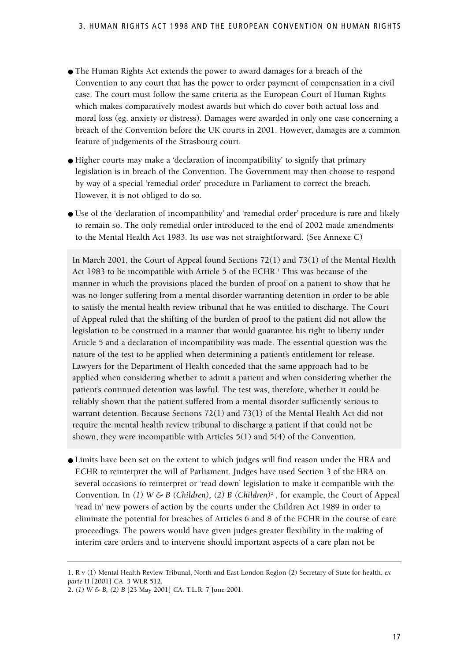- The Human Rights Act extends the power to award damages for a breach of the Convention to any court that has the power to order payment of compensation in a civil case. The court must follow the same criteria as the European Court of Human Rights which makes comparatively modest awards but which do cover both actual loss and moral loss (eg. anxiety or distress). Damages were awarded in only one case concerning a breach of the Convention before the UK courts in 2001. However, damages are a common feature of judgements of the Strasbourg court.
- Higher courts may make a 'declaration of incompatibility' to signify that primary legislation is in breach of the Convention. The Government may then choose to respond by way of a special 'remedial order' procedure in Parliament to correct the breach. However, it is not obliged to do so.
- Use of the 'declaration of incompatibility' and 'remedial order' procedure is rare and likely to remain so. The only remedial order introduced to the end of 2002 made amendments to the Mental Health Act 1983. Its use was not straightforward. (See Annexe C)

In March 2001, the Court of Appeal found Sections 72(1) and 73(1) of the Mental Health Act 1983 to be incompatible with Article 5 of the ECHR.<sup>1</sup> This was because of the manner in which the provisions placed the burden of proof on a patient to show that he was no longer suffering from a mental disorder warranting detention in order to be able to satisfy the mental health review tribunal that he was entitled to discharge. The Court of Appeal ruled that the shifting of the burden of proof to the patient did not allow the legislation to be construed in a manner that would guarantee his right to liberty under Article 5 and a declaration of incompatibility was made. The essential question was the nature of the test to be applied when determining a patient's entitlement for release. Lawyers for the Department of Health conceded that the same approach had to be applied when considering whether to admit a patient and when considering whether the patient's continued detention was lawful. The test was, therefore, whether it could be reliably shown that the patient suffered from a mental disorder sufficiently serious to warrant detention. Because Sections 72(1) and 73(1) of the Mental Health Act did not require the mental health review tribunal to discharge a patient if that could not be shown, they were incompatible with Articles 5(1) and 5(4) of the Convention.

● Limits have been set on the extent to which judges will find reason under the HRA and ECHR to reinterpret the will of Parliament. Judges have used Section 3 of the HRA on several occasions to reinterpret or 'read down' legislation to make it compatible with the Convention. In (1) W & B (Children), (2) B (Children)<sup>2</sup>, for example, the Court of Appeal 'read in' new powers of action by the courts under the Children Act 1989 in order to eliminate the potential for breaches of Articles 6 and 8 of the ECHR in the course of care proceedings. The powers would have given judges greater flexibility in the making of interim care orders and to intervene should important aspects of a care plan not be

<sup>1.</sup> R v (1) Mental Health Review Tribunal, North and East London Region (2) Secretary of State for health, *ex parte* H [2001] CA. 3 WLR 512.

<sup>2.</sup> *(1) W & B, (2) B* [23 May 2001] CA. T.L.R. 7 June 2001.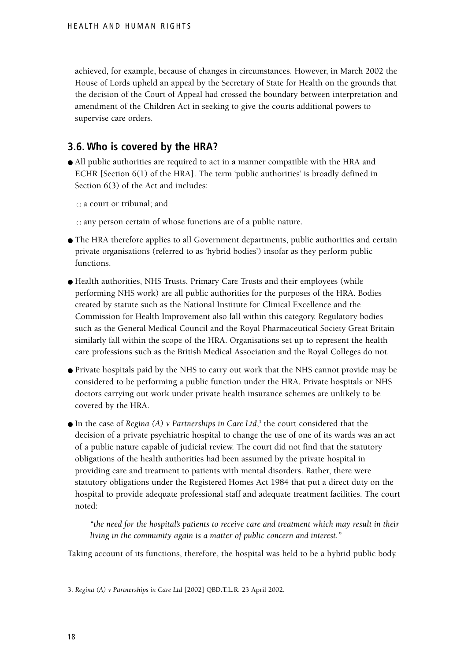achieved, for example, because of changes in circumstances. However, in March 2002 the House of Lords upheld an appeal by the Secretary of State for Health on the grounds that the decision of the Court of Appeal had crossed the boundary between interpretation and amendment of the Children Act in seeking to give the courts additional powers to supervise care orders.

#### **3.6. Who is covered by the HRA?**

● All public authorities are required to act in a manner compatible with the HRA and ECHR [Section 6(1) of the HRA]. The term 'public authorities' is broadly defined in Section 6(3) of the Act and includes:

 $\circ$  a court or tribunal; and

 $\circ$  any person certain of whose functions are of a public nature.

- The HRA therefore applies to all Government departments, public authorities and certain private organisations (referred to as 'hybrid bodies') insofar as they perform public functions.
- Health authorities, NHS Trusts, Primary Care Trusts and their employees (while performing NHS work) are all public authorities for the purposes of the HRA. Bodies created by statute such as the National Institute for Clinical Excellence and the Commission for Health Improvement also fall within this category. Regulatory bodies such as the General Medical Council and the Royal Pharmaceutical Society Great Britain similarly fall within the scope of the HRA. Organisations set up to represent the health care professions such as the British Medical Association and the Royal Colleges do not.
- Private hospitals paid by the NHS to carry out work that the NHS cannot provide may be considered to be performing a public function under the HRA. Private hospitals or NHS doctors carrying out work under private health insurance schemes are unlikely to be covered by the HRA.
- In the case of *Regina (A)* v *Partnerships in Care Ltd*,<sup>3</sup> the court considered that the decision of a private psychiatric hospital to change the use of one of its wards was an act of a public nature capable of judicial review. The court did not find that the statutory obligations of the health authorities had been assumed by the private hospital in providing care and treatment to patients with mental disorders. Rather, there were statutory obligations under the Registered Homes Act 1984 that put a direct duty on the hospital to provide adequate professional staff and adequate treatment facilities. The court noted:

*"the need for the hospital's patients to receive care and treatment which may result in their living in the community again is a matter of public concern and interest."*

Taking account of its functions, therefore, the hospital was held to be a hybrid public body.

<sup>3.</sup> *Regina (A) v Partnerships in Care Ltd* [2002] QBD.T.L.R. 23 April 2002.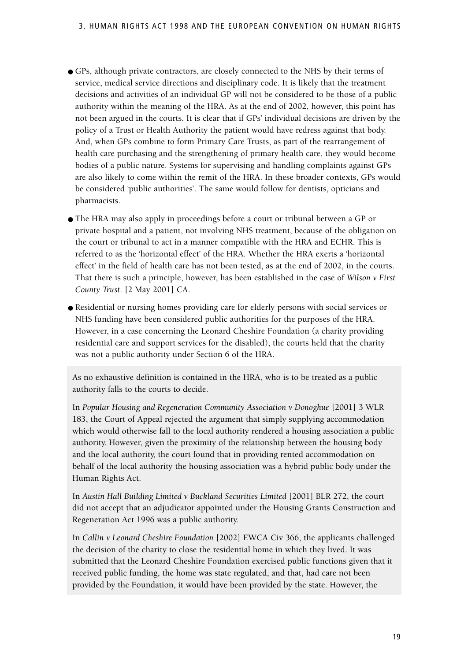- GPs, although private contractors, are closely connected to the NHS by their terms of service, medical service directions and disciplinary code. It is likely that the treatment decisions and activities of an individual GP will not be considered to be those of a public authority within the meaning of the HRA. As at the end of 2002, however, this point has not been argued in the courts. It is clear that if GPs' individual decisions are driven by the policy of a Trust or Health Authority the patient would have redress against that body. And, when GPs combine to form Primary Care Trusts, as part of the rearrangement of health care purchasing and the strengthening of primary health care, they would become bodies of a public nature. Systems for supervising and handling complaints against GPs are also likely to come within the remit of the HRA. In these broader contexts, GPs would be considered 'public authorities'. The same would follow for dentists, opticians and pharmacists.
- The HRA may also apply in proceedings before a court or tribunal between a GP or private hospital and a patient, not involving NHS treatment, because of the obligation on the court or tribunal to act in a manner compatible with the HRA and ECHR. This is referred to as the 'horizontal effect' of the HRA. Whether the HRA exerts a 'horizontal effect' in the field of health care has not been tested, as at the end of 2002, in the courts. That there is such a principle, however, has been established in the case of *Wilson v First County Trust*. [2 May 2001] CA.
- Residential or nursing homes providing care for elderly persons with social services or NHS funding have been considered public authorities for the purposes of the HRA. However, in a case concerning the Leonard Cheshire Foundation (a charity providing residential care and support services for the disabled), the courts held that the charity was not a public authority under Section 6 of the HRA.

As no exhaustive definition is contained in the HRA, who is to be treated as a public authority falls to the courts to decide.

In *Popular Housing and Regeneration Community Association v Donoghue* [2001] 3 WLR 183, the Court of Appeal rejected the argument that simply supplying accommodation which would otherwise fall to the local authority rendered a housing association a public authority. However, given the proximity of the relationship between the housing body and the local authority, the court found that in providing rented accommodation on behalf of the local authority the housing association was a hybrid public body under the Human Rights Act.

In *Austin Hall Building Limited v Buckland Securities Limited* [2001] BLR 272, the court did not accept that an adjudicator appointed under the Housing Grants Construction and Regeneration Act 1996 was a public authority.

In *Callin v Leonard Cheshire Foundation* [2002] EWCA Civ 366, the applicants challenged the decision of the charity to close the residential home in which they lived. It was submitted that the Leonard Cheshire Foundation exercised public functions given that it received public funding, the home was state regulated, and that, had care not been provided by the Foundation, it would have been provided by the state. However, the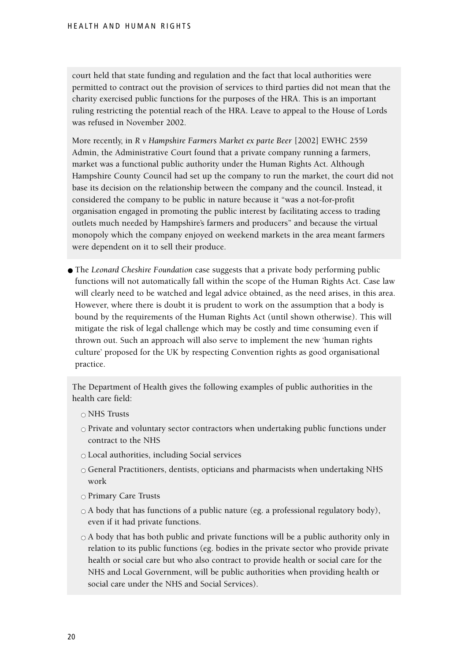court held that state funding and regulation and the fact that local authorities were permitted to contract out the provision of services to third parties did not mean that the charity exercised public functions for the purposes of the HRA. This is an important ruling restricting the potential reach of the HRA. Leave to appeal to the House of Lords was refused in November 2002.

More recently, in *R v Hampshire Farmers Market ex parte Beer* [2002] EWHC 2559 Admin, the Administrative Court found that a private company running a farmers, market was a functional public authority under the Human Rights Act. Although Hampshire County Council had set up the company to run the market, the court did not base its decision on the relationship between the company and the council. Instead, it considered the company to be public in nature because it "was a not-for-profit organisation engaged in promoting the public interest by facilitating access to trading outlets much needed by Hampshire's farmers and producers" and because the virtual monopoly which the company enjoyed on weekend markets in the area meant farmers were dependent on it to sell their produce.

● The *Leonard Cheshire Foundation* case suggests that a private body performing public functions will not automatically fall within the scope of the Human Rights Act. Case law will clearly need to be watched and legal advice obtained, as the need arises, in this area. However, where there is doubt it is prudent to work on the assumption that a body is bound by the requirements of the Human Rights Act (until shown otherwise). This will mitigate the risk of legal challenge which may be costly and time consuming even if thrown out. Such an approach will also serve to implement the new 'human rights culture' proposed for the UK by respecting Convention rights as good organisational practice.

The Department of Health gives the following examples of public authorities in the health care field:

- NHS Trusts
- $\circ$  Private and voluntary sector contractors when undertaking public functions under contract to the NHS
- $\circ$  Local authorities, including Social services
- General Practitioners, dentists, opticians and pharmacists when undertaking NHS work
- o Primary Care Trusts
- $\circ$  A body that has functions of a public nature (eg. a professional regulatory body), even if it had private functions.
- $\circ$  A body that has both public and private functions will be a public authority only in relation to its public functions (eg. bodies in the private sector who provide private health or social care but who also contract to provide health or social care for the NHS and Local Government, will be public authorities when providing health or social care under the NHS and Social Services).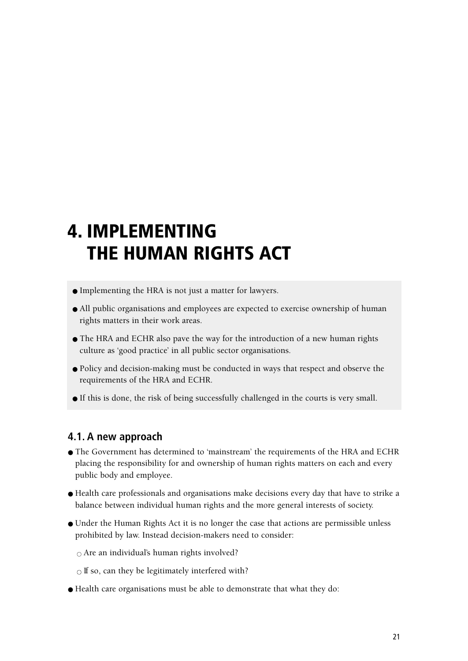### **4. IMPLEMENTING THE HUMAN RIGHTS ACT**

- Implementing the HRA is not just a matter for lawyers.
- All public organisations and employees are expected to exercise ownership of human rights matters in their work areas.
- The HRA and ECHR also pave the way for the introduction of a new human rights culture as 'good practice' in all public sector organisations.
- Policy and decision-making must be conducted in ways that respect and observe the requirements of the HRA and ECHR.
- If this is done, the risk of being successfully challenged in the courts is very small.

#### **4.1. A new approach**

- The Government has determined to 'mainstream' the requirements of the HRA and ECHR placing the responsibility for and ownership of human rights matters on each and every public body and employee.
- Health care professionals and organisations make decisions every day that have to strike a balance between individual human rights and the more general interests of society.
- Under the Human Rights Act it is no longer the case that actions are permissible unless prohibited by law. Instead decision-makers need to consider:

 $\circ$  Are an individual's human rights involved?

 $\circ$  If so, can they be legitimately interfered with?

● Health care organisations must be able to demonstrate that what they do: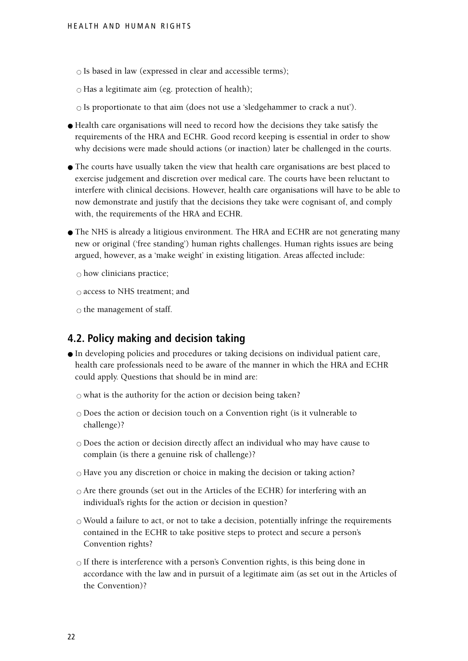$\circ$  Is based in law (expressed in clear and accessible terms);

 $\circ$  Has a legitimate aim (eg. protection of health);

 $\circ$  Is proportionate to that aim (does not use a 'sledgehammer to crack a nut').

- Health care organisations will need to record how the decisions they take satisfy the requirements of the HRA and ECHR. Good record keeping is essential in order to show why decisions were made should actions (or inaction) later be challenged in the courts.
- The courts have usually taken the view that health care organisations are best placed to exercise judgement and discretion over medical care. The courts have been reluctant to interfere with clinical decisions. However, health care organisations will have to be able to now demonstrate and justify that the decisions they take were cognisant of, and comply with, the requirements of the HRA and ECHR.
- The NHS is already a litigious environment. The HRA and ECHR are not generating many new or original ('free standing') human rights challenges. Human rights issues are being argued, however, as a 'make weight' in existing litigation. Areas affected include:

 $\circ$  how clinicians practice;

 $\circ$  access to NHS treatment; and

 $\circ$  the management of staff.

#### **4.2. Policy making and decision taking**

● In developing policies and procedures or taking decisions on individual patient care, health care professionals need to be aware of the manner in which the HRA and ECHR could apply. Questions that should be in mind are:

 $\circ$  what is the authority for the action or decision being taken?

- $\circ$  Does the action or decision touch on a Convention right (is it vulnerable to challenge)?
- $\circ$  Does the action or decision directly affect an individual who may have cause to complain (is there a genuine risk of challenge)?
- $\circ$  Have you any discretion or choice in making the decision or taking action?
- $\circ$  Are there grounds (set out in the Articles of the ECHR) for interfering with an individual's rights for the action or decision in question?
- $\circ$  Would a failure to act, or not to take a decision, potentially infringe the requirements contained in the ECHR to take positive steps to protect and secure a person's Convention rights?
- $\circ$  If there is interference with a person's Convention rights, is this being done in accordance with the law and in pursuit of a legitimate aim (as set out in the Articles of the Convention)?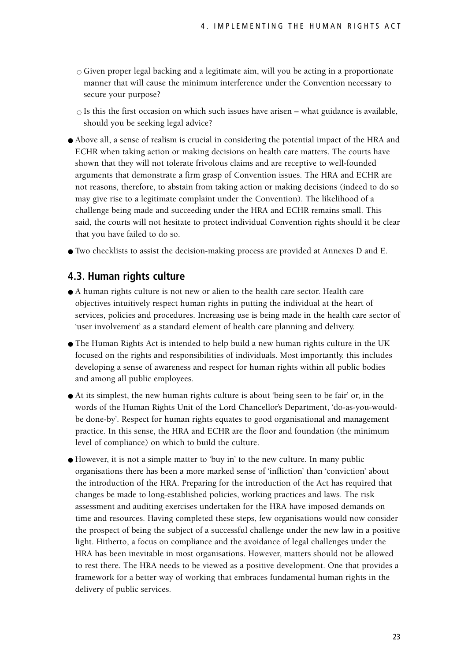$\circ$  Given proper legal backing and a legitimate aim, will you be acting in a proportionate manner that will cause the minimum interference under the Convention necessary to secure your purpose?

 $\circ$  Is this the first occasion on which such issues have arisen – what guidance is available, should you be seeking legal advice?

- Above all, a sense of realism is crucial in considering the potential impact of the HRA and ECHR when taking action or making decisions on health care matters. The courts have shown that they will not tolerate frivolous claims and are receptive to well-founded arguments that demonstrate a firm grasp of Convention issues. The HRA and ECHR are not reasons, therefore, to abstain from taking action or making decisions (indeed to do so may give rise to a legitimate complaint under the Convention). The likelihood of a challenge being made and succeeding under the HRA and ECHR remains small. This said, the courts will not hesitate to protect individual Convention rights should it be clear that you have failed to do so.
- Two checklists to assist the decision-making process are provided at Annexes D and E.

#### **4.3. Human rights culture**

- A human rights culture is not new or alien to the health care sector. Health care objectives intuitively respect human rights in putting the individual at the heart of services, policies and procedures. Increasing use is being made in the health care sector of 'user involvement' as a standard element of health care planning and delivery.
- The Human Rights Act is intended to help build a new human rights culture in the UK focused on the rights and responsibilities of individuals. Most importantly, this includes developing a sense of awareness and respect for human rights within all public bodies and among all public employees.
- At its simplest, the new human rights culture is about 'being seen to be fair' or, in the words of the Human Rights Unit of the Lord Chancellor's Department, 'do-as-you-wouldbe done-by'. Respect for human rights equates to good organisational and management practice. In this sense, the HRA and ECHR are the floor and foundation (the minimum level of compliance) on which to build the culture.
- However, it is not a simple matter to 'buy in' to the new culture. In many public organisations there has been a more marked sense of 'infliction' than 'conviction' about the introduction of the HRA. Preparing for the introduction of the Act has required that changes be made to long-established policies, working practices and laws. The risk assessment and auditing exercises undertaken for the HRA have imposed demands on time and resources. Having completed these steps, few organisations would now consider the prospect of being the subject of a successful challenge under the new law in a positive light. Hitherto, a focus on compliance and the avoidance of legal challenges under the HRA has been inevitable in most organisations. However, matters should not be allowed to rest there. The HRA needs to be viewed as a positive development. One that provides a framework for a better way of working that embraces fundamental human rights in the delivery of public services.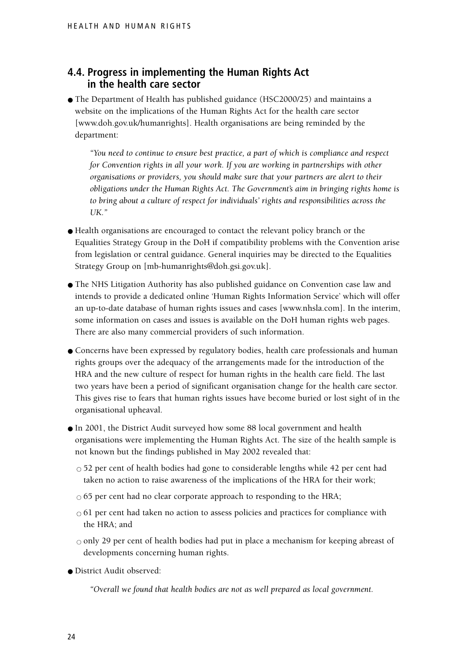#### **4.4. Progress in implementing the Human Rights Act in the health care sector**

● The Department of Health has published guidance (HSC2000/25) and maintains a website on the implications of the Human Rights Act for the health care sector [www.doh.gov.uk/humanrights]. Health organisations are being reminded by the department:

*"You need to continue to ensure best practice, a part of which is compliance and respect for Convention rights in all your work. If you are working in partnerships with other organisations or providers, you should make sure that your partners are alert to their obligations under the Human Rights Act. The Government's aim in bringing rights home is to bring about a culture of respect for individuals' rights and responsibilities across the UK."*

- Health organisations are encouraged to contact the relevant policy branch or the Equalities Strategy Group in the DoH if compatibility problems with the Convention arise from legislation or central guidance. General inquiries may be directed to the Equalities Strategy Group on [mb-humanrights@doh.gsi.gov.uk].
- The NHS Litigation Authority has also published guidance on Convention case law and intends to provide a dedicated online 'Human Rights Information Service' which will offer an up-to-date database of human rights issues and cases [www.nhsla.com]. In the interim, some information on cases and issues is available on the DoH human rights web pages. There are also many commercial providers of such information.
- Concerns have been expressed by regulatory bodies, health care professionals and human rights groups over the adequacy of the arrangements made for the introduction of the HRA and the new culture of respect for human rights in the health care field. The last two years have been a period of significant organisation change for the health care sector. This gives rise to fears that human rights issues have become buried or lost sight of in the organisational upheaval.
- In 2001, the District Audit surveyed how some 88 local government and health organisations were implementing the Human Rights Act. The size of the health sample is not known but the findings published in May 2002 revealed that:
	- $\circ$  52 per cent of health bodies had gone to considerable lengths while 42 per cent had taken no action to raise awareness of the implications of the HRA for their work;
	- $\circ$  65 per cent had no clear corporate approach to responding to the HRA;
	- $\circ$  61 per cent had taken no action to assess policies and practices for compliance with the HRA; and
	- $\circ$  only 29 per cent of health bodies had put in place a mechanism for keeping abreast of developments concerning human rights.
- District Audit observed:

*"Overall we found that health bodies are not as well prepared as local government.*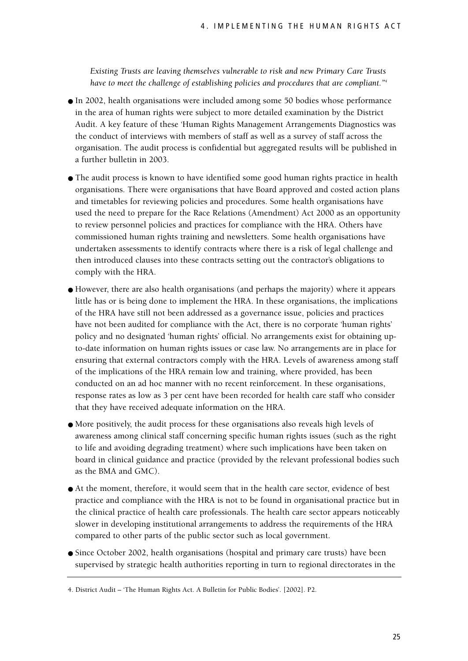*Existing Trusts are leaving themselves vulnerable to risk and new Primary Care Trusts have to meet the challenge of establishing policies and procedures that are compliant."4*

- In 2002, health organisations were included among some 50 bodies whose performance in the area of human rights were subject to more detailed examination by the District Audit. A key feature of these 'Human Rights Management Arrangements Diagnostics was the conduct of interviews with members of staff as well as a survey of staff across the organisation. The audit process is confidential but aggregated results will be published in a further bulletin in 2003.
- The audit process is known to have identified some good human rights practice in health organisations. There were organisations that have Board approved and costed action plans and timetables for reviewing policies and procedures. Some health organisations have used the need to prepare for the Race Relations (Amendment) Act 2000 as an opportunity to review personnel policies and practices for compliance with the HRA. Others have commissioned human rights training and newsletters. Some health organisations have undertaken assessments to identify contracts where there is a risk of legal challenge and then introduced clauses into these contracts setting out the contractor's obligations to comply with the HRA.
- However, there are also health organisations (and perhaps the majority) where it appears little has or is being done to implement the HRA. In these organisations, the implications of the HRA have still not been addressed as a governance issue, policies and practices have not been audited for compliance with the Act, there is no corporate 'human rights' policy and no designated 'human rights' official. No arrangements exist for obtaining upto-date information on human rights issues or case law. No arrangements are in place for ensuring that external contractors comply with the HRA. Levels of awareness among staff of the implications of the HRA remain low and training, where provided, has been conducted on an ad hoc manner with no recent reinforcement. In these organisations, response rates as low as 3 per cent have been recorded for health care staff who consider that they have received adequate information on the HRA.
- More positively, the audit process for these organisations also reveals high levels of awareness among clinical staff concerning specific human rights issues (such as the right to life and avoiding degrading treatment) where such implications have been taken on board in clinical guidance and practice (provided by the relevant professional bodies such as the BMA and GMC).
- At the moment, therefore, it would seem that in the health care sector, evidence of best practice and compliance with the HRA is not to be found in organisational practice but in the clinical practice of health care professionals. The health care sector appears noticeably slower in developing institutional arrangements to address the requirements of the HRA compared to other parts of the public sector such as local government.
- Since October 2002, health organisations (hospital and primary care trusts) have been supervised by strategic health authorities reporting in turn to regional directorates in the

<sup>4.</sup> District Audit – 'The Human Rights Act. A Bulletin for Public Bodies'. [2002]. P2.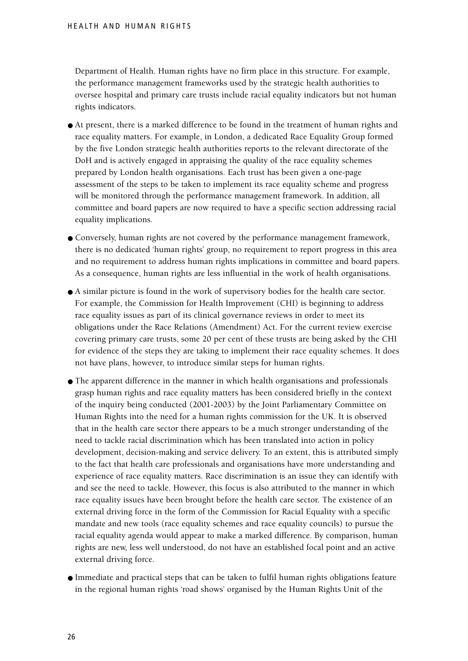Department of Health. Human rights have no firm place in this structure. For example, the performance management frameworks used by the strategic health authorities to oversee hospital and primary care trusts include racial equality indicators but not human rights indicators.

- At present, there is a marked difference to be found in the treatment of human rights and race equality matters. For example, in London, a dedicated Race Equality Group formed by the five London strategic health authorities reports to the relevant directorate of the DoH and is actively engaged in appraising the quality of the race equality schemes prepared by London health organisations. Each trust has been given a one-page assessment of the steps to be taken to implement its race equality scheme and progress will be monitored through the performance management framework. In addition, all committee and board papers are now required to have a specific section addressing racial equality implications.
- Conversely, human rights are not covered by the performance management framework, there is no dedicated 'human rights' group, no requirement to report progress in this area and no requirement to address human rights implications in committee and board papers. As a consequence, human rights are less influential in the work of health organisations.
- A similar picture is found in the work of supervisory bodies for the health care sector. For example, the Commission for Health Improvement (CHI) is beginning to address race equality issues as part of its clinical governance reviews in order to meet its obligations under the Race Relations (Amendment) Act. For the current review exercise covering primary care trusts, some 20 per cent of these trusts are being asked by the CHI for evidence of the steps they are taking to implement their race equality schemes. It does not have plans, however, to introduce similar steps for human rights.
- The apparent difference in the manner in which health organisations and professionals grasp human rights and race equality matters has been considered briefly in the context of the inquiry being conducted (2001-2003) by the Joint Parliamentary Committee on Human Rights into the need for a human rights commission for the UK. It is observed that in the health care sector there appears to be a much stronger understanding of the need to tackle racial discrimination which has been translated into action in policy development, decision-making and service delivery. To an extent, this is attributed simply to the fact that health care professionals and organisations have more understanding and experience of race equality matters. Race discrimination is an issue they can identify with and see the need to tackle. However, this focus is also attributed to the manner in which race equality issues have been brought before the health care sector. The existence of an external driving force in the form of the Commission for Racial Equality with a specific mandate and new tools (race equality schemes and race equality councils) to pursue the racial equality agenda would appear to make a marked difference. By comparison, human rights are new, less well understood, do not have an established focal point and an active external driving force.
- Immediate and practical steps that can be taken to fulfil human rights obligations feature in the regional human rights 'road shows' organised by the Human Rights Unit of the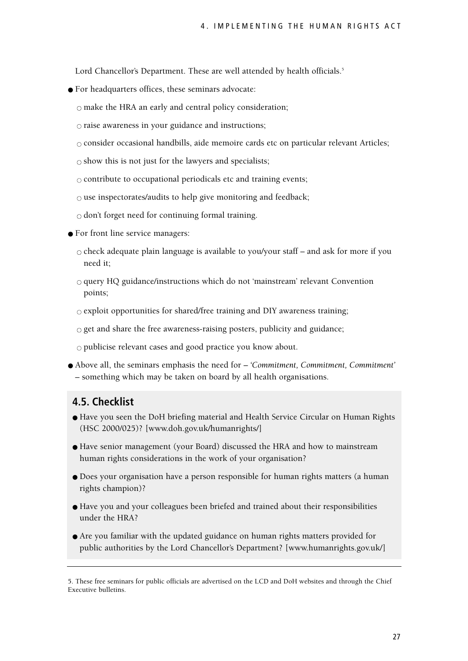Lord Chancellor's Department. These are well attended by health officials.<sup>5</sup>

● For headquarters offices, these seminars advocate:

 $\circ$  make the HRA an early and central policy consideration;

 $\circ$  raise awareness in your guidance and instructions;

● consider occasional handbills, aide memoire cards etc on particular relevant Articles;

 $\circ$  show this is not just for the lawyers and specialists;

 $\circ$  contribute to occupational periodicals etc and training events;

 $\circ$  use inspectorates/audits to help give monitoring and feedback;

 $\circ$  don't forget need for continuing formal training.

- For front line service managers:
	- $\circ$  check adequate plain language is available to you/your staff and ask for more if you need it;
	- $\circ$  query HQ guidance/instructions which do not 'mainstream' relevant Convention points;
	- $\circ$  exploit opportunities for shared/free training and DIY awareness training;
	- $\circ$  get and share the free awareness-raising posters, publicity and guidance;

 $\circ$  publicise relevant cases and good practice you know about.

● Above all, the seminars emphasis the need for – *'Commitment, Commitment, Commitment'* – something which may be taken on board by all health organisations.

#### **4.5. Checklist**

- Have you seen the DoH briefing material and Health Service Circular on Human Rights (HSC 2000/025)? [www.doh.gov.uk/humanrights/]
- Have senior management (your Board) discussed the HRA and how to mainstream human rights considerations in the work of your organisation?
- Does your organisation have a person responsible for human rights matters (a human rights champion)?
- Have you and your colleagues been briefed and trained about their responsibilities under the HRA?
- Are you familiar with the updated guidance on human rights matters provided for public authorities by the Lord Chancellor's Department? [www.humanrights.gov.uk/]

<sup>5.</sup> These free seminars for public officials are advertised on the LCD and DoH websites and through the Chief Executive bulletins.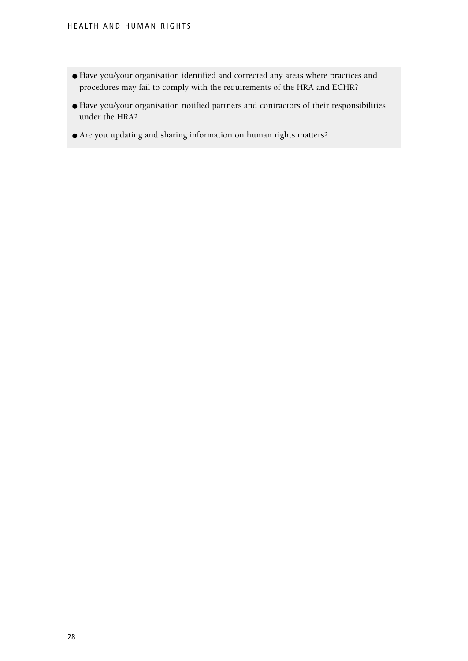- Have you/your organisation identified and corrected any areas where practices and procedures may fail to comply with the requirements of the HRA and ECHR?
- Have you/your organisation notified partners and contractors of their responsibilities under the HRA?
- Are you updating and sharing information on human rights matters?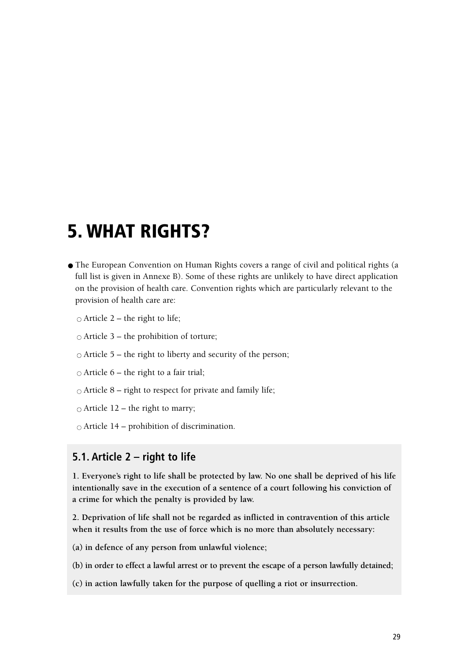### **5. WHAT RIGHTS?**

- The European Convention on Human Rights covers a range of civil and political rights (a full list is given in Annexe B). Some of these rights are unlikely to have direct application on the provision of health care. Convention rights which are particularly relevant to the provision of health care are:
	- $\circ$  Article 2 the right to life;
	- $\circ$  Article 3 the prohibition of torture;
	- $\circ$  Article 5 the right to liberty and security of the person;
	- $\circ$  Article 6 the right to a fair trial;
	- $\circ$  Article 8 right to respect for private and family life;
	- $\circ$  Article 12 the right to marry;
	- $\circ$  Article 14 prohibition of discrimination.

#### **5.1. Article 2 – right to life**

**1. Everyone's right to life shall be protected by law. No one shall be deprived of his life intentionally save in the execution of a sentence of a court following his conviction of a crime for which the penalty is provided by law.**

**2. Deprivation of life shall not be regarded as inflicted in contravention of this article when it results from the use of force which is no more than absolutely necessary:**

**(a) in defence of any person from unlawful violence;**

**(b) in order to effect a lawful arrest or to prevent the escape of a person lawfully detained;**

**(c) in action lawfully taken for the purpose of quelling a riot or insurrection.**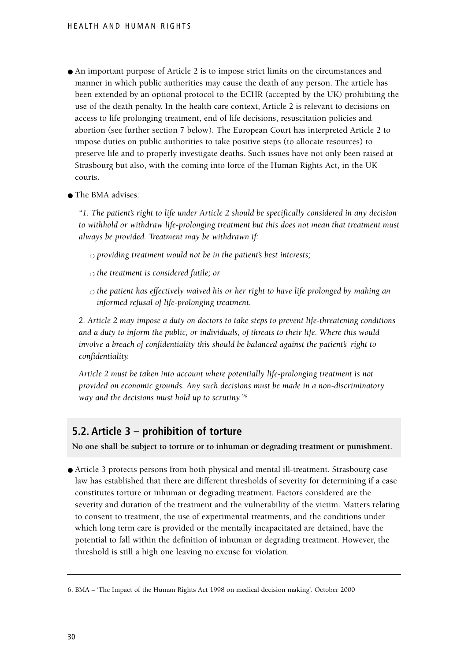- An important purpose of Article 2 is to impose strict limits on the circumstances and manner in which public authorities may cause the death of any person. The article has been extended by an optional protocol to the ECHR (accepted by the UK) prohibiting the use of the death penalty. In the health care context, Article 2 is relevant to decisions on access to life prolonging treatment, end of life decisions, resuscitation policies and abortion (see further section 7 below). The European Court has interpreted Article 2 to impose duties on public authorities to take positive steps (to allocate resources) to preserve life and to properly investigate deaths. Such issues have not only been raised at Strasbourg but also, with the coming into force of the Human Rights Act, in the UK courts.
- The BMA advises:

*"1. The patient's right to life under Article 2 should be specifically considered in any decision to withhold or withdraw life-prolonging treatment but this does not mean that treatment must always be provided. Treatment may be withdrawn if:*

 $\circ$  providing treatment would not be in the patient's best interests;

- $\circ$  *the treatment is considered futile; or*
- *the patient has effectively waived his or her right to have life prolonged by making an informed refusal of life-prolonging treatment.*

*2. Article 2 may impose a duty on doctors to take steps to prevent life-threatening conditions and a duty to inform the public, or individuals, of threats to their life. Where this would involve a breach of confidentiality this should be balanced against the patient's right to confidentiality.*

*Article 2 must be taken into account where potentially life-prolonging treatment is not provided on economic grounds. Any such decisions must be made in a non-discriminatory way and the decisions must hold up to scrutiny."6*

#### **5.2. Article 3 – prohibition of torture**

**No one shall be subject to torture or to inhuman or degrading treatment or punishment.**

● Article 3 protects persons from both physical and mental ill-treatment. Strasbourg case law has established that there are different thresholds of severity for determining if a case constitutes torture or inhuman or degrading treatment. Factors considered are the severity and duration of the treatment and the vulnerability of the victim. Matters relating to consent to treatment, the use of experimental treatments, and the conditions under which long term care is provided or the mentally incapacitated are detained, have the potential to fall within the definition of inhuman or degrading treatment. However, the threshold is still a high one leaving no excuse for violation.

<sup>6.</sup> BMA – 'The Impact of the Human Rights Act 1998 on medical decision making'. October 2000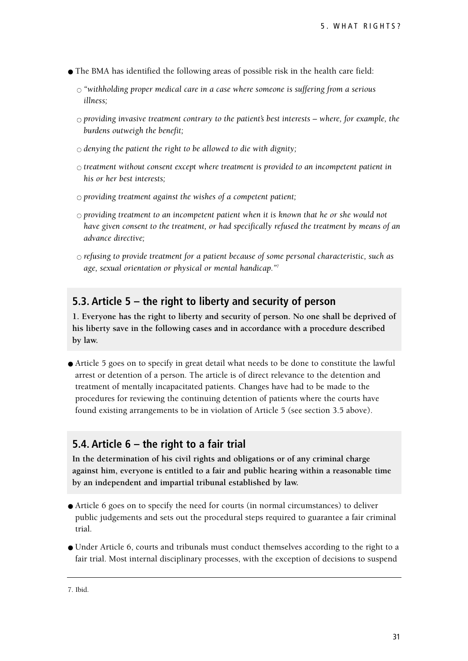- The BMA has identified the following areas of possible risk in the health care field:
	- *"withholding proper medical care in a case where someone is suffering from a serious illness;*
	- $\circ$  providing invasive treatment contrary to the patient's best interests where, for example, the *burdens outweigh the benefit;*
	- $\circ$  *denying the patient the right to be allowed to die with dignity*;
	- $\circ$  treatment without consent except where treatment is provided to an incompetent patient in *his or her best interests;*
	- $\circ$  providing treatment against the wishes of a competent patient;
	- $\circ$  providing treatment to an incompetent patient when it is known that he or she would not *have given consent to the treatment, or had specifically refused the treatment by means of an advance directive;*
	- *refusing to provide treatment for a patient because of some personal characteristic, such as age, sexual orientation or physical or mental handicap."7*

#### **5.3. Article 5 – the right to liberty and security of person**

**1. Everyone has the right to liberty and security of person. No one shall be deprived of his liberty save in the following cases and in accordance with a procedure described by law.**

● Article 5 goes on to specify in great detail what needs to be done to constitute the lawful arrest or detention of a person. The article is of direct relevance to the detention and treatment of mentally incapacitated patients. Changes have had to be made to the procedures for reviewing the continuing detention of patients where the courts have found existing arrangements to be in violation of Article 5 (see section 3.5 above).

#### **5.4. Article 6 – the right to a fair trial**

**In the determination of his civil rights and obligations or of any criminal charge against him, everyone is entitled to a fair and public hearing within a reasonable time by an independent and impartial tribunal established by law.** 

- Article 6 goes on to specify the need for courts (in normal circumstances) to deliver public judgements and sets out the procedural steps required to guarantee a fair criminal trial.
- Under Article 6, courts and tribunals must conduct themselves according to the right to a fair trial. Most internal disciplinary processes, with the exception of decisions to suspend

<sup>7.</sup> Ibid.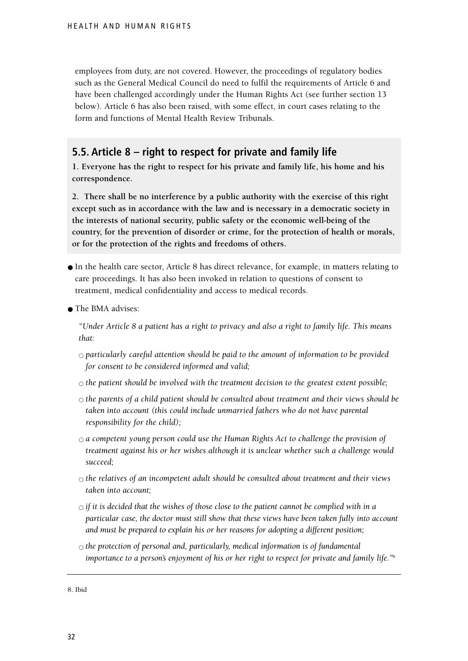employees from duty, are not covered. However, the proceedings of regulatory bodies such as the General Medical Council do need to fulfil the requirements of Article 6 and have been challenged accordingly under the Human Rights Act (see further section 13 below). Article 6 has also been raised, with some effect, in court cases relating to the form and functions of Mental Health Review Tribunals.

#### **5.5. Article 8 – right to respect for private and family life**

**1. Everyone has the right to respect for his private and family life, his home and his correspondence.**

**2. There shall be no interference by a public authority with the exercise of this right except such as in accordance with the law and is necessary in a democratic society in the interests of national security, public safety or the economic well-being of the country, for the prevention of disorder or crime, for the protection of health or morals, or for the protection of the rights and freedoms of others.**

- In the health care sector, Article 8 has direct relevance, for example, in matters relating to care proceedings. It has also been invoked in relation to questions of consent to treatment, medical confidentiality and access to medical records.
- The BMA advises:

*"Under Article 8 a patient has a right to privacy and also a right to family life. This means that:*

- $\circ$  particularly careful attention should be paid to the amount of information to be provided *for consent to be considered informed and valid;*
- $\circ$  *the patient should be involved with the treatment decision to the greatest extent possible;*
- *the parents of a child patient should be consulted about treatment and their views should be taken into account (this could include unmarried fathers who do not have parental responsibility for the child);*
- *a competent young person could use the Human Rights Act to challenge the provision of treatment against his or her wishes although it is unclear whether such a challenge would succeed;*
- $\circ$  *the relatives of an incompetent adult should be consulted about treatment and their views taken into account;*
- $\circ$  *if it is decided that the wishes of those close to the patient cannot be complied with in a particular case, the doctor must still show that these views have been taken fully into account and must be prepared to explain his or her reasons for adopting a different position;*
- $\circ$  *the protection of personal and, particularly, medical information is of fundamental importance to a person's enjoyment of his or her right to respect for private and family life."*<sup>8</sup>

8. Ibid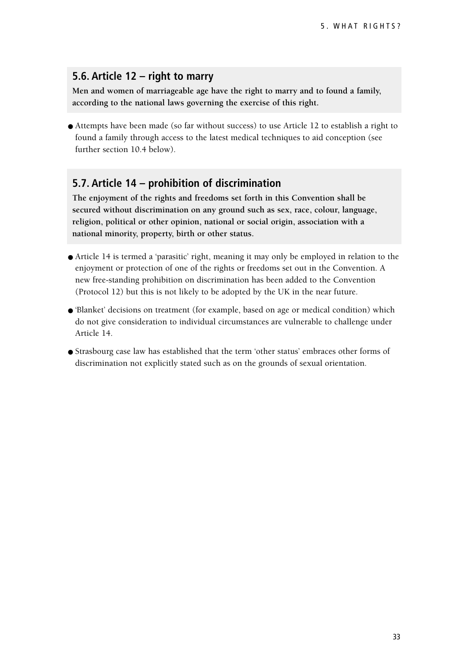#### **5.6. Article 12 – right to marry**

**Men and women of marriageable age have the right to marry and to found a family, according to the national laws governing the exercise of this right.**

● Attempts have been made (so far without success) to use Article 12 to establish a right to found a family through access to the latest medical techniques to aid conception (see further section 10.4 below).

#### **5.7. Article 14 – prohibition of discrimination**

**The enjoyment of the rights and freedoms set forth in this Convention shall be secured without discrimination on any ground such as sex, race, colour, language, religion, political or other opinion, national or social origin, association with a national minority, property, birth or other status.**

- Article 14 is termed a 'parasitic' right, meaning it may only be employed in relation to the enjoyment or protection of one of the rights or freedoms set out in the Convention. A new free-standing prohibition on discrimination has been added to the Convention (Protocol 12) but this is not likely to be adopted by the UK in the near future.
- 'Blanket' decisions on treatment (for example, based on age or medical condition) which do not give consideration to individual circumstances are vulnerable to challenge under Article 14.
- Strasbourg case law has established that the term 'other status' embraces other forms of discrimination not explicitly stated such as on the grounds of sexual orientation.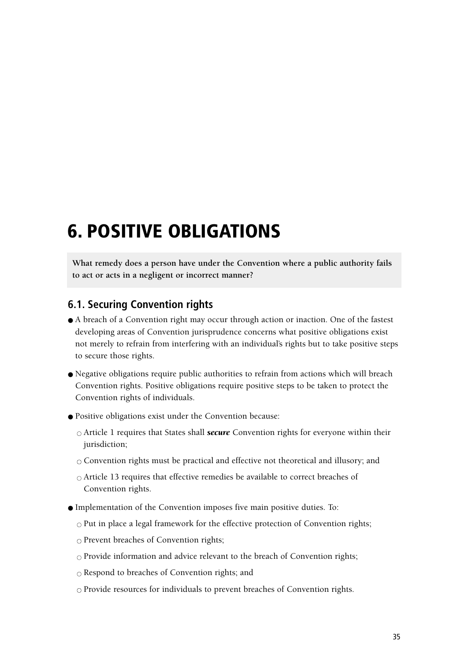## **6. POSITIVE OBLIGATIONS**

**What remedy does a person have under the Convention where a public authority fails to act or acts in a negligent or incorrect manner?**

#### **6.1. Securing Convention rights**

- A breach of a Convention right may occur through action or inaction. One of the fastest developing areas of Convention jurisprudence concerns what positive obligations exist not merely to refrain from interfering with an individual's rights but to take positive steps to secure those rights.
- Negative obligations require public authorities to refrain from actions which will breach Convention rights. Positive obligations require positive steps to be taken to protect the Convention rights of individuals.
- Positive obligations exist under the Convention because:
	- Article 1 requires that States shall *secure* Convention rights for everyone within their jurisdiction;
	- $\circ$  Convention rights must be practical and effective not theoretical and illusory; and
	- $\circ$  Article 13 requires that effective remedies be available to correct breaches of Convention rights.
- Implementation of the Convention imposes five main positive duties. To:
	- $\circ$  Put in place a legal framework for the effective protection of Convention rights;
	- $\circ$  Prevent breaches of Convention rights;
	- $\circ$  Provide information and advice relevant to the breach of Convention rights;
	- $\circ$  Respond to breaches of Convention rights; and
	- $\circ$  Provide resources for individuals to prevent breaches of Convention rights.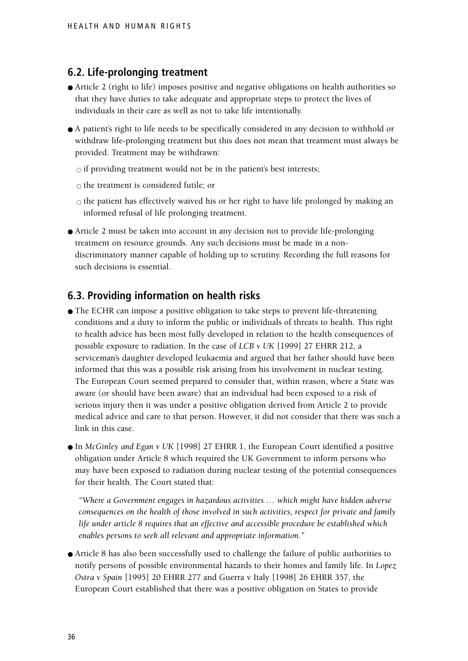## **6.2. Life-prolonging treatment**

- Article 2 (right to life) imposes positive and negative obligations on health authorities so that they have duties to take adequate and appropriate steps to protect the lives of individuals in their care as well as not to take life intentionally.
- A patient's right to life needs to be specifically considered in any decision to withhold or withdraw life-prolonging treatment but this does not mean that treatment must always be provided. Treatment may be withdrawn:

 $\circ$  if providing treatment would not be in the patient's best interests;

 $\circ$  the treatment is considered futile; or

 $\circ$  the patient has effectively waived his or her right to have life prolonged by making an informed refusal of life prolonging treatment.

● Article 2 must be taken into account in any decision not to provide life-prolonging treatment on resource grounds. Any such decisions must be made in a nondiscriminatory manner capable of holding up to scrutiny. Recording the full reasons for such decisions is essential.

## **6.3. Providing information on health risks**

- The ECHR can impose a positive obligation to take steps to prevent life-threatening conditions and a duty to inform the public or individuals of threats to health. This right to health advice has been most fully developed in relation to the health consequences of possible exposure to radiation. In the case of *LCB v UK* [1999] 27 EHRR 212, a serviceman's daughter developed leukaemia and argued that her father should have been informed that this was a possible risk arising from his involvement in nuclear testing. The European Court seemed prepared to consider that, within reason, where a State was aware (or should have been aware) that an individual had been exposed to a risk of serious injury then it was under a positive obligation derived from Article 2 to provide medical advice and care to that person. However, it did not consider that there was such a link in this case.
- In *McGinley and Egan v UK* [1998] 27 EHRR 1, the European Court identified a positive obligation under Article 8 which required the UK Government to inform persons who may have been exposed to radiation during nuclear testing of the potential consequences for their health. The Court stated that:

*"Where a Government engages in hazardous activities … which might have hidden adverse consequences on the health of those involved in such activities, respect for private and family life under article 8 requires that an effective and accessible procedure be established which enables persons to seek all relevant and appropriate information."*

● Article 8 has also been successfully used to challenge the failure of public authorities to notify persons of possible environmental hazards to their homes and family life. In *Lopez Ostra v Spain* [1995] 20 EHRR 277 and Guerra v Italy [1998] 26 EHRR 357, the European Court established that there was a positive obligation on States to provide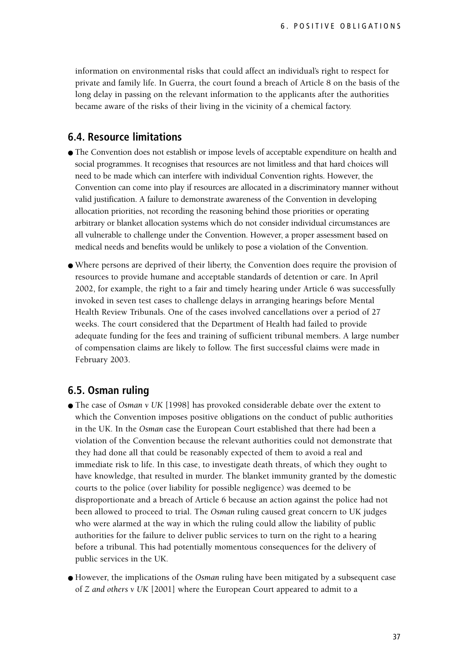information on environmental risks that could affect an individual's right to respect for private and family life. In Guerra, the court found a breach of Article 8 on the basis of the long delay in passing on the relevant information to the applicants after the authorities became aware of the risks of their living in the vicinity of a chemical factory.

#### **6.4. Resource limitations**

- The Convention does not establish or impose levels of acceptable expenditure on health and social programmes. It recognises that resources are not limitless and that hard choices will need to be made which can interfere with individual Convention rights. However, the Convention can come into play if resources are allocated in a discriminatory manner without valid justification. A failure to demonstrate awareness of the Convention in developing allocation priorities, not recording the reasoning behind those priorities or operating arbitrary or blanket allocation systems which do not consider individual circumstances are all vulnerable to challenge under the Convention. However, a proper assessment based on medical needs and benefits would be unlikely to pose a violation of the Convention.
- Where persons are deprived of their liberty, the Convention does require the provision of resources to provide humane and acceptable standards of detention or care. In April 2002, for example, the right to a fair and timely hearing under Article 6 was successfully invoked in seven test cases to challenge delays in arranging hearings before Mental Health Review Tribunals. One of the cases involved cancellations over a period of 27 weeks. The court considered that the Department of Health had failed to provide adequate funding for the fees and training of sufficient tribunal members. A large number of compensation claims are likely to follow. The first successful claims were made in February 2003.

#### **6.5. Osman ruling**

- The case of *Osman v UK* [1998] has provoked considerable debate over the extent to which the Convention imposes positive obligations on the conduct of public authorities in the UK. In the *Osman* case the European Court established that there had been a violation of the Convention because the relevant authorities could not demonstrate that they had done all that could be reasonably expected of them to avoid a real and immediate risk to life. In this case, to investigate death threats, of which they ought to have knowledge, that resulted in murder. The blanket immunity granted by the domestic courts to the police (over liability for possible negligence) was deemed to be disproportionate and a breach of Article 6 because an action against the police had not been allowed to proceed to trial. The *Osman* ruling caused great concern to UK judges who were alarmed at the way in which the ruling could allow the liability of public authorities for the failure to deliver public services to turn on the right to a hearing before a tribunal. This had potentially momentous consequences for the delivery of public services in the UK.
- However, the implications of the *Osman* ruling have been mitigated by a subsequent case of *Z and others v UK* [2001] where the European Court appeared to admit to a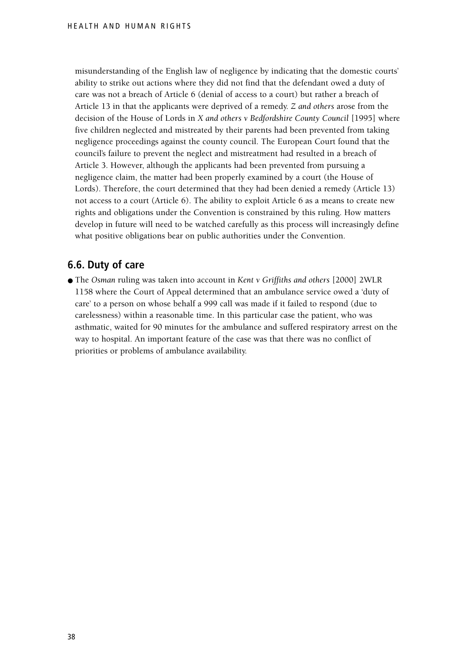misunderstanding of the English law of negligence by indicating that the domestic courts' ability to strike out actions where they did not find that the defendant owed a duty of care was not a breach of Article 6 (denial of access to a court) but rather a breach of Article 13 in that the applicants were deprived of a remedy. *Z and others* arose from the decision of the House of Lords in *X and others v Bedfordshire County Council* [1995] where five children neglected and mistreated by their parents had been prevented from taking negligence proceedings against the county council. The European Court found that the council's failure to prevent the neglect and mistreatment had resulted in a breach of Article 3. However, although the applicants had been prevented from pursuing a negligence claim, the matter had been properly examined by a court (the House of Lords). Therefore, the court determined that they had been denied a remedy (Article 13) not access to a court (Article 6). The ability to exploit Article 6 as a means to create new rights and obligations under the Convention is constrained by this ruling. How matters develop in future will need to be watched carefully as this process will increasingly define what positive obligations bear on public authorities under the Convention.

## **6.6. Duty of care**

● The *Osman* ruling was taken into account in *Kent v Griffiths and others* [2000] 2WLR 1158 where the Court of Appeal determined that an ambulance service owed a 'duty of care' to a person on whose behalf a 999 call was made if it failed to respond (due to carelessness) within a reasonable time. In this particular case the patient, who was asthmatic, waited for 90 minutes for the ambulance and suffered respiratory arrest on the way to hospital. An important feature of the case was that there was no conflict of priorities or problems of ambulance availability.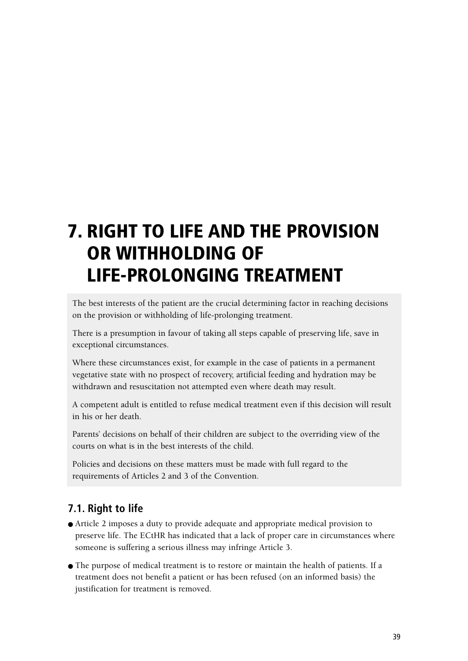# **7. RIGHT TO LIFE AND THE PROVISION OR WITHHOLDING OF LIFE-PROLONGING TREATMENT**

The best interests of the patient are the crucial determining factor in reaching decisions on the provision or withholding of life-prolonging treatment.

There is a presumption in favour of taking all steps capable of preserving life, save in exceptional circumstances.

Where these circumstances exist, for example in the case of patients in a permanent vegetative state with no prospect of recovery, artificial feeding and hydration may be withdrawn and resuscitation not attempted even where death may result.

A competent adult is entitled to refuse medical treatment even if this decision will result in his or her death.

Parents' decisions on behalf of their children are subject to the overriding view of the courts on what is in the best interests of the child.

Policies and decisions on these matters must be made with full regard to the requirements of Articles 2 and 3 of the Convention.

# **7.1. Right to life**

- Article 2 imposes a duty to provide adequate and appropriate medical provision to preserve life. The ECtHR has indicated that a lack of proper care in circumstances where someone is suffering a serious illness may infringe Article 3.
- The purpose of medical treatment is to restore or maintain the health of patients. If a treatment does not benefit a patient or has been refused (on an informed basis) the justification for treatment is removed.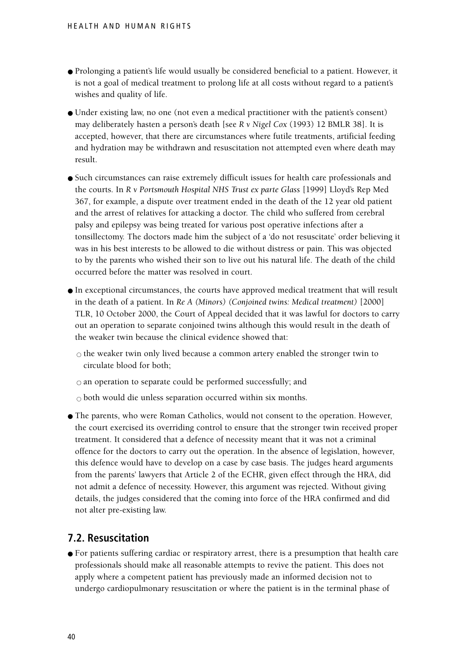- Prolonging a patient's life would usually be considered beneficial to a patient. However, it is not a goal of medical treatment to prolong life at all costs without regard to a patient's wishes and quality of life.
- Under existing law, no one (not even a medical practitioner with the patient's consent) may deliberately hasten a person's death [see *R v Nigel Cox* (1993) 12 BMLR 38]. It is accepted, however, that there are circumstances where futile treatments, artificial feeding and hydration may be withdrawn and resuscitation not attempted even where death may result.
- Such circumstances can raise extremely difficult issues for health care professionals and the courts. In *R v Portsmouth Hospital NHS Trust ex parte Glass* [1999] Lloyd's Rep Med 367, for example, a dispute over treatment ended in the death of the 12 year old patient and the arrest of relatives for attacking a doctor. The child who suffered from cerebral palsy and epilepsy was being treated for various post operative infections after a tonsillectomy. The doctors made him the subject of a 'do not resuscitate' order believing it was in his best interests to be allowed to die without distress or pain. This was objected to by the parents who wished their son to live out his natural life. The death of the child occurred before the matter was resolved in court.
- In exceptional circumstances, the courts have approved medical treatment that will result in the death of a patient. In *Re A (Minors) (Conjoined twins: Medical treatment)* [2000] TLR, 10 October 2000, the Court of Appeal decided that it was lawful for doctors to carry out an operation to separate conjoined twins although this would result in the death of the weaker twin because the clinical evidence showed that:

 $\circ$  the weaker twin only lived because a common artery enabled the stronger twin to circulate blood for both;

 $\circ$  an operation to separate could be performed successfully; and

 $\circ$  both would die unless separation occurred within six months.

● The parents, who were Roman Catholics, would not consent to the operation. However, the court exercised its overriding control to ensure that the stronger twin received proper treatment. It considered that a defence of necessity meant that it was not a criminal offence for the doctors to carry out the operation. In the absence of legislation, however, this defence would have to develop on a case by case basis. The judges heard arguments from the parents' lawyers that Article 2 of the ECHR, given effect through the HRA, did not admit a defence of necessity. However, this argument was rejected. Without giving details, the judges considered that the coming into force of the HRA confirmed and did not alter pre-existing law.

## **7.2. Resuscitation**

● For patients suffering cardiac or respiratory arrest, there is a presumption that health care professionals should make all reasonable attempts to revive the patient. This does not apply where a competent patient has previously made an informed decision not to undergo cardiopulmonary resuscitation or where the patient is in the terminal phase of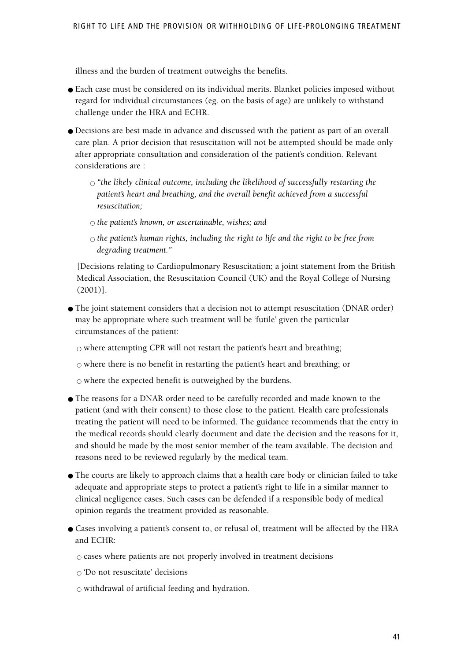illness and the burden of treatment outweighs the benefits.

- Each case must be considered on its individual merits. Blanket policies imposed without regard for individual circumstances (eg. on the basis of age) are unlikely to withstand challenge under the HRA and ECHR.
- Decisions are best made in advance and discussed with the patient as part of an overall care plan. A prior decision that resuscitation will not be attempted should be made only after appropriate consultation and consideration of the patient's condition. Relevant considerations are :
	- $\circ$  "the likely clinical outcome, including the likelihood of successfully restarting the *patient's heart and breathing, and the overall benefit achieved from a successful resuscitation;*
	- $\circ$  *the patient's known, or ascertainable, wishes; and*
	- *the patient's human rights, including the right to life and the right to be free from degrading treatment."*

[Decisions relating to Cardiopulmonary Resuscitation; a joint statement from the British Medical Association, the Resuscitation Council (UK) and the Royal College of Nursing (2001)].

● The joint statement considers that a decision not to attempt resuscitation (DNAR order) may be appropriate where such treatment will be 'futile' given the particular circumstances of the patient:

 $\circ$  where attempting CPR will not restart the patient's heart and breathing;

 $\circ$  where there is no benefit in restarting the patient's heart and breathing; or

 $\circ$  where the expected benefit is outweighed by the burdens.

- The reasons for a DNAR order need to be carefully recorded and made known to the patient (and with their consent) to those close to the patient. Health care professionals treating the patient will need to be informed. The guidance recommends that the entry in the medical records should clearly document and date the decision and the reasons for it, and should be made by the most senior member of the team available. The decision and reasons need to be reviewed regularly by the medical team.
- The courts are likely to approach claims that a health care body or clinician failed to take adequate and appropriate steps to protect a patient's right to life in a similar manner to clinical negligence cases. Such cases can be defended if a responsible body of medical opinion regards the treatment provided as reasonable.
- Cases involving a patient's consent to, or refusal of, treatment will be affected by the HRA and ECHR:

 $\circ$  cases where patients are not properly involved in treatment decisions

 $\circ$  'Do not resuscitate' decisions

 $\circ$  withdrawal of artificial feeding and hydration.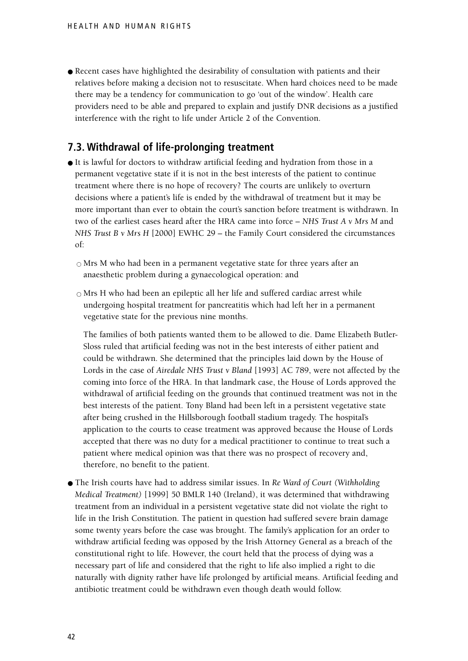● Recent cases have highlighted the desirability of consultation with patients and their relatives before making a decision not to resuscitate. When hard choices need to be made there may be a tendency for communication to go 'out of the window'. Health care providers need to be able and prepared to explain and justify DNR decisions as a justified interference with the right to life under Article 2 of the Convention.

## **7.3. Withdrawal of life-prolonging treatment**

- It is lawful for doctors to withdraw artificial feeding and hydration from those in a permanent vegetative state if it is not in the best interests of the patient to continue treatment where there is no hope of recovery? The courts are unlikely to overturn decisions where a patient's life is ended by the withdrawal of treatment but it may be more important than ever to obtain the court's sanction before treatment is withdrawn. In two of the earliest cases heard after the HRA came into force – *NHS Trust A v Mrs M* and *NHS Trust B v Mrs H* [2000] EWHC 29 – the Family Court considered the circumstances of:
	- $\circ$  Mrs M who had been in a permanent vegetative state for three years after an anaesthetic problem during a gynaecological operation: and
	- $\circ$  Mrs H who had been an epileptic all her life and suffered cardiac arrest while undergoing hospital treatment for pancreatitis which had left her in a permanent vegetative state for the previous nine months.

The families of both patients wanted them to be allowed to die. Dame Elizabeth Butler-Sloss ruled that artificial feeding was not in the best interests of either patient and could be withdrawn. She determined that the principles laid down by the House of Lords in the case of *Airedale NHS Trust v Bland* [1993] AC 789, were not affected by the coming into force of the HRA. In that landmark case, the House of Lords approved the withdrawal of artificial feeding on the grounds that continued treatment was not in the best interests of the patient. Tony Bland had been left in a persistent vegetative state after being crushed in the Hillsborough football stadium tragedy. The hospital's application to the courts to cease treatment was approved because the House of Lords accepted that there was no duty for a medical practitioner to continue to treat such a patient where medical opinion was that there was no prospect of recovery and, therefore, no benefit to the patient.

● The Irish courts have had to address similar issues. In *Re Ward of Court (Withholding Medical Treatment)* [1999] 50 BMLR 140 (Ireland), it was determined that withdrawing treatment from an individual in a persistent vegetative state did not violate the right to life in the Irish Constitution. The patient in question had suffered severe brain damage some twenty years before the case was brought. The family's application for an order to withdraw artificial feeding was opposed by the Irish Attorney General as a breach of the constitutional right to life. However, the court held that the process of dying was a necessary part of life and considered that the right to life also implied a right to die naturally with dignity rather have life prolonged by artificial means. Artificial feeding and antibiotic treatment could be withdrawn even though death would follow.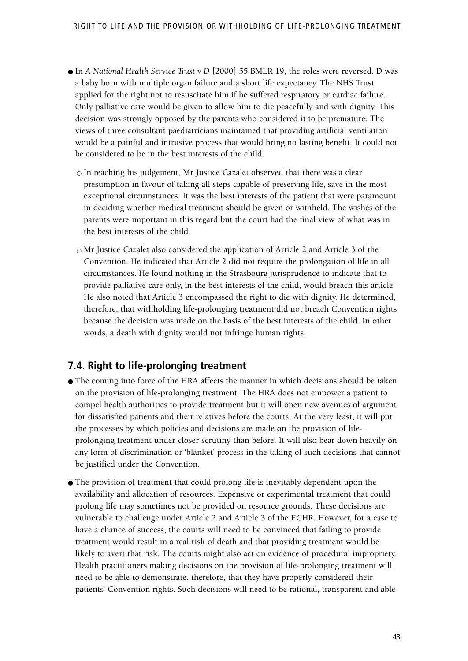- In *A National Health Service Trust v D* [2000] 55 BMLR 19, the roles were reversed. D was a baby born with multiple organ failure and a short life expectancy. The NHS Trust applied for the right not to resuscitate him if he suffered respiratory or cardiac failure. Only palliative care would be given to allow him to die peacefully and with dignity. This decision was strongly opposed by the parents who considered it to be premature. The views of three consultant paediatricians maintained that providing artificial ventilation would be a painful and intrusive process that would bring no lasting benefit. It could not be considered to be in the best interests of the child.
	- $\circ$  In reaching his judgement, Mr Justice Cazalet observed that there was a clear presumption in favour of taking all steps capable of preserving life, save in the most exceptional circumstances. It was the best interests of the patient that were paramount in deciding whether medical treatment should be given or withheld. The wishes of the parents were important in this regard but the court had the final view of what was in the best interests of the child.
	- $\circ$  Mr Justice Cazalet also considered the application of Article 2 and Article 3 of the Convention. He indicated that Article 2 did not require the prolongation of life in all circumstances. He found nothing in the Strasbourg jurisprudence to indicate that to provide palliative care only, in the best interests of the child, would breach this article. He also noted that Article 3 encompassed the right to die with dignity. He determined, therefore, that withholding life-prolonging treatment did not breach Convention rights because the decision was made on the basis of the best interests of the child. In other words, a death with dignity would not infringe human rights.

#### **7.4. Right to life-prolonging treatment**

- The coming into force of the HRA affects the manner in which decisions should be taken on the provision of life-prolonging treatment. The HRA does not empower a patient to compel health authorities to provide treatment but it will open new avenues of argument for dissatisfied patients and their relatives before the courts. At the very least, it will put the processes by which policies and decisions are made on the provision of lifeprolonging treatment under closer scrutiny than before. It will also bear down heavily on any form of discrimination or 'blanket' process in the taking of such decisions that cannot be justified under the Convention.
- The provision of treatment that could prolong life is inevitably dependent upon the availability and allocation of resources. Expensive or experimental treatment that could prolong life may sometimes not be provided on resource grounds. These decisions are vulnerable to challenge under Article 2 and Article 3 of the ECHR. However, for a case to have a chance of success, the courts will need to be convinced that failing to provide treatment would result in a real risk of death and that providing treatment would be likely to avert that risk. The courts might also act on evidence of procedural impropriety. Health practitioners making decisions on the provision of life-prolonging treatment will need to be able to demonstrate, therefore, that they have properly considered their patients' Convention rights. Such decisions will need to be rational, transparent and able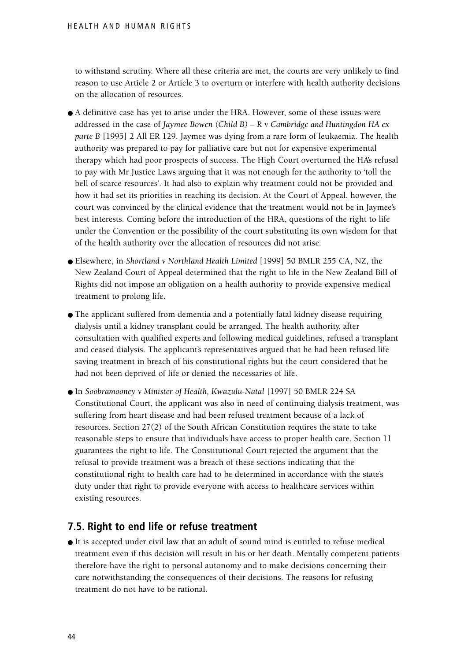to withstand scrutiny. Where all these criteria are met, the courts are very unlikely to find reason to use Article 2 or Article 3 to overturn or interfere with health authority decisions on the allocation of resources.

- A definitive case has yet to arise under the HRA. However, some of these issues were addressed in the case of *Jaymee Bowen (Child B) – R v Cambridge and Huntingdon HA ex parte B* [1995] 2 All ER 129. Jaymee was dying from a rare form of leukaemia. The health authority was prepared to pay for palliative care but not for expensive experimental therapy which had poor prospects of success. The High Court overturned the HA's refusal to pay with Mr Justice Laws arguing that it was not enough for the authority to 'toll the bell of scarce resources'. It had also to explain why treatment could not be provided and how it had set its priorities in reaching its decision. At the Court of Appeal, however, the court was convinced by the clinical evidence that the treatment would not be in Jaymee's best interests. Coming before the introduction of the HRA, questions of the right to life under the Convention or the possibility of the court substituting its own wisdom for that of the health authority over the allocation of resources did not arise.
- Elsewhere, in *Shortland v Northland Health Limited* [1999] 50 BMLR 255 CA, NZ, the New Zealand Court of Appeal determined that the right to life in the New Zealand Bill of Rights did not impose an obligation on a health authority to provide expensive medical treatment to prolong life.
- The applicant suffered from dementia and a potentially fatal kidney disease requiring dialysis until a kidney transplant could be arranged. The health authority, after consultation with qualified experts and following medical guidelines, refused a transplant and ceased dialysis. The applicant's representatives argued that he had been refused life saving treatment in breach of his constitutional rights but the court considered that he had not been deprived of life or denied the necessaries of life.
- In *Soobramooney v Minister of Health, Kwazulu-Natal* [1997] 50 BMLR 224 SA Constitutional Court, the applicant was also in need of continuing dialysis treatment, was suffering from heart disease and had been refused treatment because of a lack of resources. Section 27(2) of the South African Constitution requires the state to take reasonable steps to ensure that individuals have access to proper health care. Section 11 guarantees the right to life. The Constitutional Court rejected the argument that the refusal to provide treatment was a breach of these sections indicating that the constitutional right to health care had to be determined in accordance with the state's duty under that right to provide everyone with access to healthcare services within existing resources.

## **7.5. Right to end life or refuse treatment**

● It is accepted under civil law that an adult of sound mind is entitled to refuse medical treatment even if this decision will result in his or her death. Mentally competent patients therefore have the right to personal autonomy and to make decisions concerning their care notwithstanding the consequences of their decisions. The reasons for refusing treatment do not have to be rational.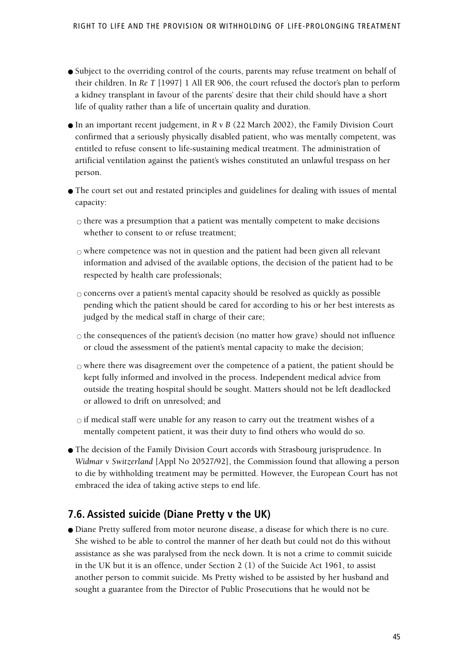- Subject to the overriding control of the courts, parents may refuse treatment on behalf of their children. In *Re T* [1997] 1 All ER 906, the court refused the doctor's plan to perform a kidney transplant in favour of the parents' desire that their child should have a short life of quality rather than a life of uncertain quality and duration.
- In an important recent judgement, in *R v B* (22 March 2002), the Family Division Court confirmed that a seriously physically disabled patient, who was mentally competent, was entitled to refuse consent to life-sustaining medical treatment. The administration of artificial ventilation against the patient's wishes constituted an unlawful trespass on her person.
- The court set out and restated principles and guidelines for dealing with issues of mental capacity:
	- $\circ$  there was a presumption that a patient was mentally competent to make decisions whether to consent to or refuse treatment;
	- $\circ$  where competence was not in question and the patient had been given all relevant information and advised of the available options, the decision of the patient had to be respected by health care professionals;
	- $\circ$  concerns over a patient's mental capacity should be resolved as quickly as possible pending which the patient should be cared for according to his or her best interests as judged by the medical staff in charge of their care;
	- $\circ$  the consequences of the patient's decision (no matter how grave) should not influence or cloud the assessment of the patient's mental capacity to make the decision;
	- $\circ$  where there was disagreement over the competence of a patient, the patient should be kept fully informed and involved in the process. Independent medical advice from outside the treating hospital should be sought. Matters should not be left deadlocked or allowed to drift on unresolved; and
	- $\circ$  if medical staff were unable for any reason to carry out the treatment wishes of a mentally competent patient, it was their duty to find others who would do so.
- The decision of the Family Division Court accords with Strasbourg jurisprudence. In *Widmar v Switzerland* [Appl No 20527/92], the Commission found that allowing a person to die by withholding treatment may be permitted. However, the European Court has not embraced the idea of taking active steps to end life.

## **7.6. Assisted suicide (Diane Pretty v the UK)**

● Diane Pretty suffered from motor neurone disease, a disease for which there is no cure. She wished to be able to control the manner of her death but could not do this without assistance as she was paralysed from the neck down. It is not a crime to commit suicide in the UK but it is an offence, under Section 2 (1) of the Suicide Act 1961, to assist another person to commit suicide. Ms Pretty wished to be assisted by her husband and sought a guarantee from the Director of Public Prosecutions that he would not be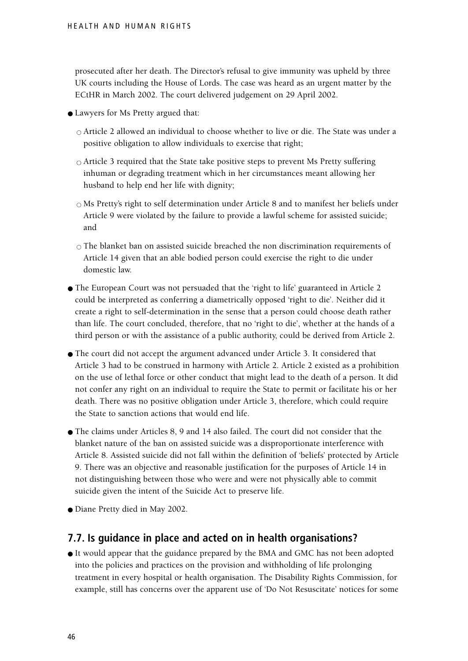prosecuted after her death. The Director's refusal to give immunity was upheld by three UK courts including the House of Lords. The case was heard as an urgent matter by the ECtHR in March 2002. The court delivered judgement on 29 April 2002.

- Lawyers for Ms Pretty argued that:
	- $\circ$  Article 2 allowed an individual to choose whether to live or die. The State was under a positive obligation to allow individuals to exercise that right;
	- $\circ$  Article 3 required that the State take positive steps to prevent Ms Pretty suffering inhuman or degrading treatment which in her circumstances meant allowing her husband to help end her life with dignity;
	- $\circ$  Ms Pretty's right to self determination under Article 8 and to manifest her beliefs under Article 9 were violated by the failure to provide a lawful scheme for assisted suicide; and
	- $\circ$  The blanket ban on assisted suicide breached the non discrimination requirements of Article 14 given that an able bodied person could exercise the right to die under domestic law.
- The European Court was not persuaded that the 'right to life' guaranteed in Article 2 could be interpreted as conferring a diametrically opposed 'right to die'. Neither did it create a right to self-determination in the sense that a person could choose death rather than life. The court concluded, therefore, that no 'right to die', whether at the hands of a third person or with the assistance of a public authority, could be derived from Article 2.
- The court did not accept the argument advanced under Article 3. It considered that Article 3 had to be construed in harmony with Article 2. Article 2 existed as a prohibition on the use of lethal force or other conduct that might lead to the death of a person. It did not confer any right on an individual to require the State to permit or facilitate his or her death. There was no positive obligation under Article 3, therefore, which could require the State to sanction actions that would end life.
- The claims under Articles 8, 9 and 14 also failed. The court did not consider that the blanket nature of the ban on assisted suicide was a disproportionate interference with Article 8. Assisted suicide did not fall within the definition of 'beliefs' protected by Article 9. There was an objective and reasonable justification for the purposes of Article 14 in not distinguishing between those who were and were not physically able to commit suicide given the intent of the Suicide Act to preserve life.
- Diane Pretty died in May 2002.

### **7.7. Is guidance in place and acted on in health organisations?**

● It would appear that the guidance prepared by the BMA and GMC has not been adopted into the policies and practices on the provision and withholding of life prolonging treatment in every hospital or health organisation. The Disability Rights Commission, for example, still has concerns over the apparent use of 'Do Not Resuscitate' notices for some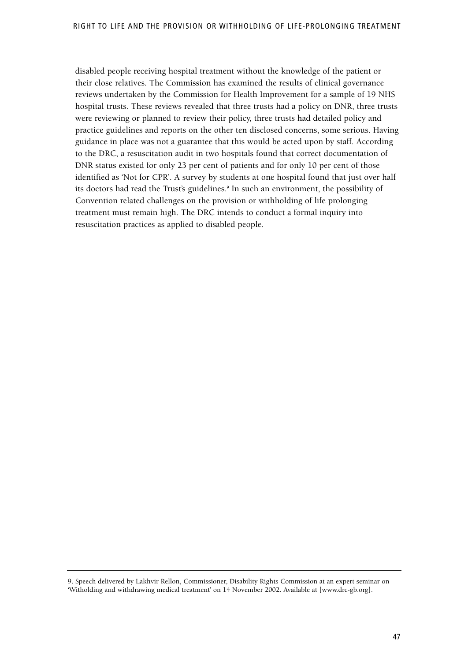disabled people receiving hospital treatment without the knowledge of the patient or their close relatives. The Commission has examined the results of clinical governance reviews undertaken by the Commission for Health Improvement for a sample of 19 NHS hospital trusts. These reviews revealed that three trusts had a policy on DNR, three trusts were reviewing or planned to review their policy, three trusts had detailed policy and practice guidelines and reports on the other ten disclosed concerns, some serious. Having guidance in place was not a guarantee that this would be acted upon by staff. According to the DRC, a resuscitation audit in two hospitals found that correct documentation of DNR status existed for only 23 per cent of patients and for only 10 per cent of those identified as 'Not for CPR'. A survey by students at one hospital found that just over half its doctors had read the Trust's guidelines.<sup>9</sup> In such an environment, the possibility of Convention related challenges on the provision or withholding of life prolonging treatment must remain high. The DRC intends to conduct a formal inquiry into resuscitation practices as applied to disabled people.

<sup>9.</sup> Speech delivered by Lakhvir Rellon, Commissioner, Disability Rights Commission at an expert seminar on 'Witholding and withdrawing medical treatment' on 14 November 2002. Available at [www.drc-gb.org].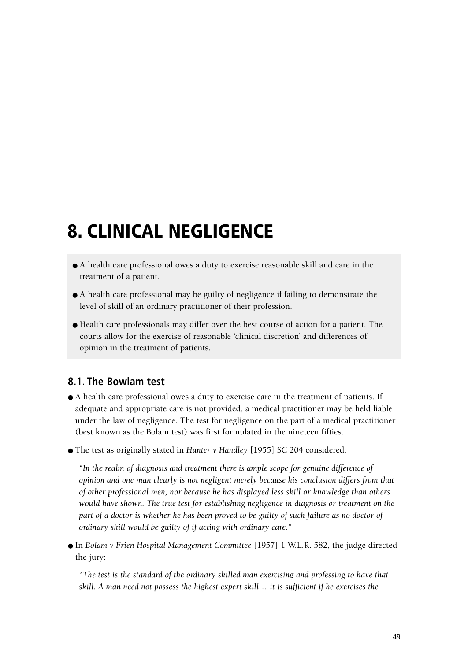# **8. CLINICAL NEGLIGENCE**

- A health care professional owes a duty to exercise reasonable skill and care in the treatment of a patient.
- A health care professional may be guilty of negligence if failing to demonstrate the level of skill of an ordinary practitioner of their profession.
- Health care professionals may differ over the best course of action for a patient. The courts allow for the exercise of reasonable 'clinical discretion' and differences of opinion in the treatment of patients.

## **8.1. The Bowlam test**

- A health care professional owes a duty to exercise care in the treatment of patients. If adequate and appropriate care is not provided, a medical practitioner may be held liable under the law of negligence. The test for negligence on the part of a medical practitioner (best known as the Bolam test) was first formulated in the nineteen fifties.
- The test as originally stated in *Hunter v Handley* [1955] SC 204 considered:

*"In the realm of diagnosis and treatment there is ample scope for genuine difference of opinion and one man clearly is not negligent merely because his conclusion differs from that of other professional men, nor because he has displayed less skill or knowledge than others would have shown. The true test for establishing negligence in diagnosis or treatment on the part of a doctor is whether he has been proved to be guilty of such failure as no doctor of ordinary skill would be guilty of if acting with ordinary care."*

● In *Bolam v Frien Hospital Management Committee* [1957] 1 W.L.R. 582, the judge directed the jury:

*"The test is the standard of the ordinary skilled man exercising and professing to have that skill. A man need not possess the highest expert skill… it is sufficient if he exercises the*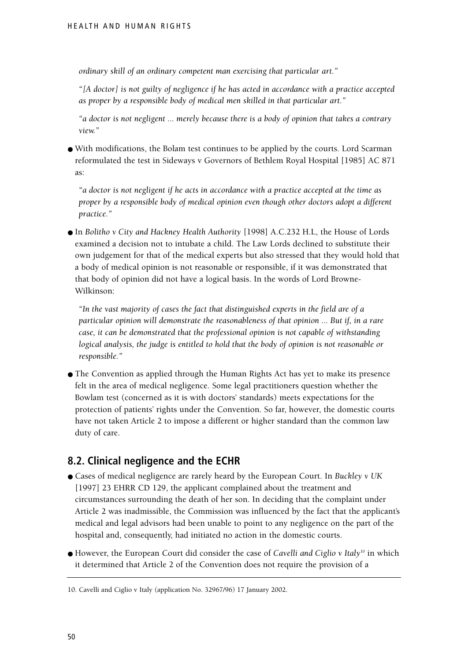*ordinary skill of an ordinary competent man exercising that particular art."*

*"[A doctor] is not guilty of negligence if he has acted in accordance with a practice accepted as proper by a responsible body of medical men skilled in that particular art."*

*"a doctor is not negligent ... merely because there is a body of opinion that takes a contrary view."*

● With modifications, the Bolam test continues to be applied by the courts. Lord Scarman reformulated the test in Sideways v Governors of Bethlem Royal Hospital [1985] AC 871 as:

*"a doctor is not negligent if he acts in accordance with a practice accepted at the time as proper by a responsible body of medical opinion even though other doctors adopt a different practice."*

● In *Bolitho v City and Hackney Health Authority* [1998] A.C.232 H.L, the House of Lords examined a decision not to intubate a child. The Law Lords declined to substitute their own judgement for that of the medical experts but also stressed that they would hold that a body of medical opinion is not reasonable or responsible, if it was demonstrated that that body of opinion did not have a logical basis. In the words of Lord Browne-Wilkinson:

*"In the vast majority of cases the fact that distinguished experts in the field are of a particular opinion will demonstrate the reasonableness of that opinion ... But if, in a rare case, it can be demonstrated that the professional opinion is not capable of withstanding logical analysis, the judge is entitled to hold that the body of opinion is not reasonable or responsible."*

● The Convention as applied through the Human Rights Act has yet to make its presence felt in the area of medical negligence. Some legal practitioners question whether the Bowlam test (concerned as it is with doctors' standards) meets expectations for the protection of patients' rights under the Convention. So far, however, the domestic courts have not taken Article 2 to impose a different or higher standard than the common law duty of care.

## **8.2. Clinical negligence and the ECHR**

- Cases of medical negligence are rarely heard by the European Court. In *Buckley v UK* [1997] 23 EHRR CD 129, the applicant complained about the treatment and circumstances surrounding the death of her son. In deciding that the complaint under Article 2 was inadmissible, the Commission was influenced by the fact that the applicant's medical and legal advisors had been unable to point to any negligence on the part of the hospital and, consequently, had initiated no action in the domestic courts.
- However, the European Court did consider the case of *Cavelli and Ciglio v Italy*<sup>10</sup> in which it determined that Article 2 of the Convention does not require the provision of a

<sup>10.</sup> Cavelli and Ciglio v Italy (application No. 32967/96) 17 January 2002.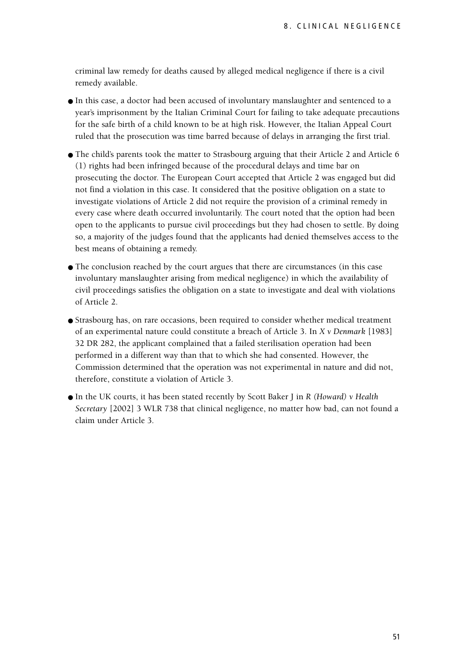criminal law remedy for deaths caused by alleged medical negligence if there is a civil remedy available.

- In this case, a doctor had been accused of involuntary manslaughter and sentenced to a year's imprisonment by the Italian Criminal Court for failing to take adequate precautions for the safe birth of a child known to be at high risk. However, the Italian Appeal Court ruled that the prosecution was time barred because of delays in arranging the first trial.
- The child's parents took the matter to Strasbourg arguing that their Article 2 and Article 6 (1) rights had been infringed because of the procedural delays and time bar on prosecuting the doctor. The European Court accepted that Article 2 was engaged but did not find a violation in this case. It considered that the positive obligation on a state to investigate violations of Article 2 did not require the provision of a criminal remedy in every case where death occurred involuntarily. The court noted that the option had been open to the applicants to pursue civil proceedings but they had chosen to settle. By doing so, a majority of the judges found that the applicants had denied themselves access to the best means of obtaining a remedy.
- The conclusion reached by the court argues that there are circumstances (in this case involuntary manslaughter arising from medical negligence) in which the availability of civil proceedings satisfies the obligation on a state to investigate and deal with violations of Article 2.
- Strasbourg has, on rare occasions, been required to consider whether medical treatment of an experimental nature could constitute a breach of Article 3. In *X v Denmark* [1983] 32 DR 282, the applicant complained that a failed sterilisation operation had been performed in a different way than that to which she had consented. However, the Commission determined that the operation was not experimental in nature and did not, therefore, constitute a violation of Article 3.
- In the UK courts, it has been stated recently by Scott Baker J in *R (Howard) v Health Secretary* [2002] 3 WLR 738 that clinical negligence, no matter how bad, can not found a claim under Article 3.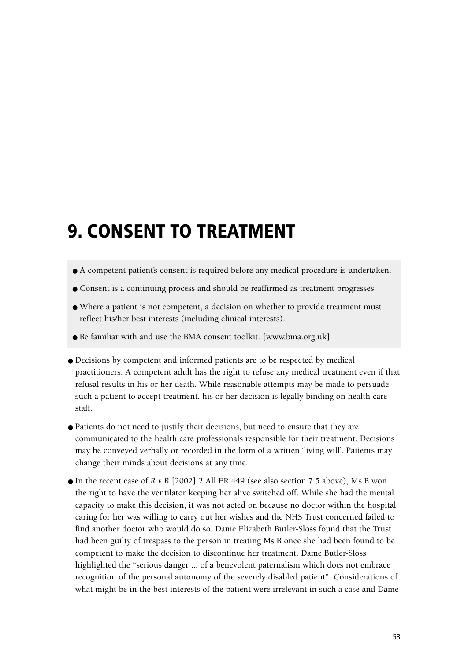# **9. CONSENT TO TREATMENT**

- A competent patient's consent is required before any medical procedure is undertaken.
- Consent is a continuing process and should be reaffirmed as treatment progresses.
- Where a patient is not competent, a decision on whether to provide treatment must reflect his/her best interests (including clinical interests).
- Be familiar with and use the BMA consent toolkit. [www.bma.org.uk]
- Decisions by competent and informed patients are to be respected by medical practitioners. A competent adult has the right to refuse any medical treatment even if that refusal results in his or her death. While reasonable attempts may be made to persuade such a patient to accept treatment, his or her decision is legally binding on health care staff.
- Patients do not need to justify their decisions, but need to ensure that they are communicated to the health care professionals responsible for their treatment. Decisions may be conveyed verbally or recorded in the form of a written 'living will'. Patients may change their minds about decisions at any time.
- $\bullet$  In the recent case of *R v B* [2002] 2 All ER 449 (see also section 7.5 above), Ms B won the right to have the ventilator keeping her alive switched off. While she had the mental capacity to make this decision, it was not acted on because no doctor within the hospital caring for her was willing to carry out her wishes and the NHS Trust concerned failed to find another doctor who would do so. Dame Elizabeth Butler-Sloss found that the Trust had been guilty of trespass to the person in treating Ms B once she had been found to be competent to make the decision to discontinue her treatment. Dame Butler-Sloss highlighted the "serious danger ... of a benevolent paternalism which does not embrace recognition of the personal autonomy of the severely disabled patient". Considerations of what might be in the best interests of the patient were irrelevant in such a case and Dame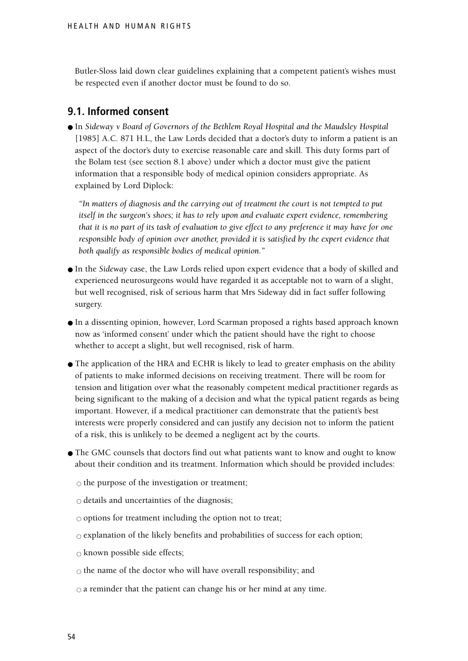Butler-Sloss laid down clear guidelines explaining that a competent patient's wishes must be respected even if another doctor must be found to do so.

### **9.1. Informed consent**

● In *Sideway v Board of Governors of the Bethlem Royal Hospital and the Maudsley Hospital* [1985] A.C. 871 H.L, the Law Lords decided that a doctor's duty to inform a patient is an aspect of the doctor's duty to exercise reasonable care and skill. This duty forms part of the Bolam test (see section 8.1 above) under which a doctor must give the patient information that a responsible body of medical opinion considers appropriate. As explained by Lord Diplock:

*"In matters of diagnosis and the carrying out of treatment the court is not tempted to put itself in the surgeon's shoes; it has to rely upon and evaluate expert evidence, remembering that it is no part of its task of evaluation to give effect to any preference it may have for one responsible body of opinion over another, provided it is satisfied by the expert evidence that both qualify as responsible bodies of medical opinion."*

- In the *Sideway* case, the Law Lords relied upon expert evidence that a body of skilled and experienced neurosurgeons would have regarded it as acceptable not to warn of a slight, but well recognised, risk of serious harm that Mrs Sideway did in fact suffer following surgery.
- In a dissenting opinion, however, Lord Scarman proposed a rights based approach known now as 'informed consent' under which the patient should have the right to choose whether to accept a slight, but well recognised, risk of harm.
- The application of the HRA and ECHR is likely to lead to greater emphasis on the ability of patients to make informed decisions on receiving treatment. There will be room for tension and litigation over what the reasonably competent medical practitioner regards as being significant to the making of a decision and what the typical patient regards as being important. However, if a medical practitioner can demonstrate that the patient's best interests were properly considered and can justify any decision not to inform the patient of a risk, this is unlikely to be deemed a negligent act by the courts.
- The GMC counsels that doctors find out what patients want to know and ought to know about their condition and its treatment. Information which should be provided includes:

 $\circ$  the purpose of the investigation or treatment;

- $\circ$  details and uncertainties of the diagnosis;
- $\circ$  options for treatment including the option not to treat;
- $\circ$  explanation of the likely benefits and probabilities of success for each option;
- $\circ$  known possible side effects;
- $\circ$  the name of the doctor who will have overall responsibility; and
- $\circ$  a reminder that the patient can change his or her mind at any time.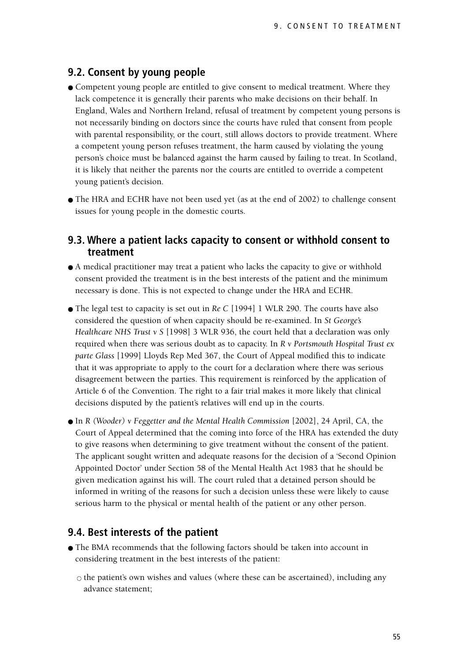### **9.2. Consent by young people**

- Competent young people are entitled to give consent to medical treatment. Where they lack competence it is generally their parents who make decisions on their behalf. In England, Wales and Northern Ireland, refusal of treatment by competent young persons is not necessarily binding on doctors since the courts have ruled that consent from people with parental responsibility, or the court, still allows doctors to provide treatment. Where a competent young person refuses treatment, the harm caused by violating the young person's choice must be balanced against the harm caused by failing to treat. In Scotland, it is likely that neither the parents nor the courts are entitled to override a competent young patient's decision.
- The HRA and ECHR have not been used yet (as at the end of 2002) to challenge consent issues for young people in the domestic courts.

#### **9.3. Where a patient lacks capacity to consent or withhold consent to treatment**

- A medical practitioner may treat a patient who lacks the capacity to give or withhold consent provided the treatment is in the best interests of the patient and the minimum necessary is done. This is not expected to change under the HRA and ECHR.
- The legal test to capacity is set out in *Re C* [1994] 1 WLR 290. The courts have also considered the question of when capacity should be re-examined. In *St George's Healthcare NHS Trust v S* [1998] 3 WLR 936, the court held that a declaration was only required when there was serious doubt as to capacity. In *R v Portsmouth Hospital Trust ex parte Glass* [1999] Lloyds Rep Med 367, the Court of Appeal modified this to indicate that it was appropriate to apply to the court for a declaration where there was serious disagreement between the parties. This requirement is reinforced by the application of Article 6 of the Convention. The right to a fair trial makes it more likely that clinical decisions disputed by the patient's relatives will end up in the courts.
- In *R (Wooder) v Feggetter and the Mental Health Commission* [2002], 24 April, CA, the Court of Appeal determined that the coming into force of the HRA has extended the duty to give reasons when determining to give treatment without the consent of the patient. The applicant sought written and adequate reasons for the decision of a 'Second Opinion Appointed Doctor' under Section 58 of the Mental Health Act 1983 that he should be given medication against his will. The court ruled that a detained person should be informed in writing of the reasons for such a decision unless these were likely to cause serious harm to the physical or mental health of the patient or any other person.

### **9.4. Best interests of the patient**

- The BMA recommends that the following factors should be taken into account in considering treatment in the best interests of the patient:
	- $\circ$  the patient's own wishes and values (where these can be ascertained), including any advance statement;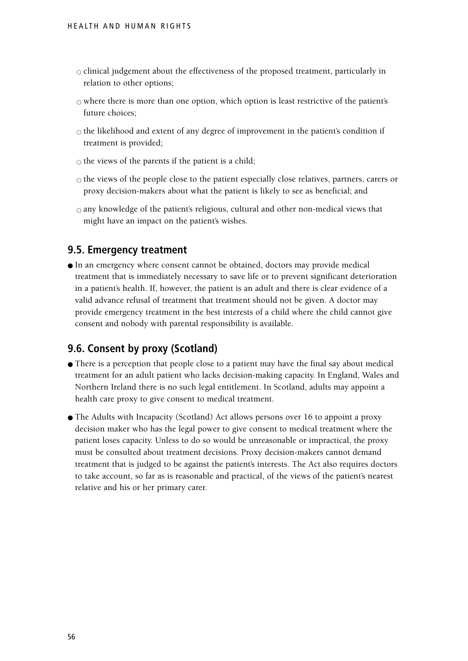- $\circ$  clinical judgement about the effectiveness of the proposed treatment, particularly in relation to other options;
- $\circ$  where there is more than one option, which option is least restrictive of the patient's future choices;
- $\circ$  the likelihood and extent of any degree of improvement in the patient's condition if treatment is provided;
- $\circ$  the views of the parents if the patient is a child;
- $\circ$  the views of the people close to the patient especially close relatives, partners, carers or proxy decision-makers about what the patient is likely to see as beneficial; and
- $\circ$  any knowledge of the patient's religious, cultural and other non-medical views that might have an impact on the patient's wishes.

#### **9.5. Emergency treatment**

● In an emergency where consent cannot be obtained, doctors may provide medical treatment that is immediately necessary to save life or to prevent significant deterioration in a patient's health. If, however, the patient is an adult and there is clear evidence of a valid advance refusal of treatment that treatment should not be given. A doctor may provide emergency treatment in the best interests of a child where the child cannot give consent and nobody with parental responsibility is available.

### **9.6. Consent by proxy (Scotland)**

- There is a perception that people close to a patient may have the final say about medical treatment for an adult patient who lacks decision-making capacity. In England, Wales and Northern Ireland there is no such legal entitlement. In Scotland, adults may appoint a health care proxy to give consent to medical treatment.
- The Adults with Incapacity (Scotland) Act allows persons over 16 to appoint a proxy decision maker who has the legal power to give consent to medical treatment where the patient loses capacity. Unless to do so would be unreasonable or impractical, the proxy must be consulted about treatment decisions. Proxy decision-makers cannot demand treatment that is judged to be against the patient's interests. The Act also requires doctors to take account, so far as is reasonable and practical, of the views of the patient's nearest relative and his or her primary carer.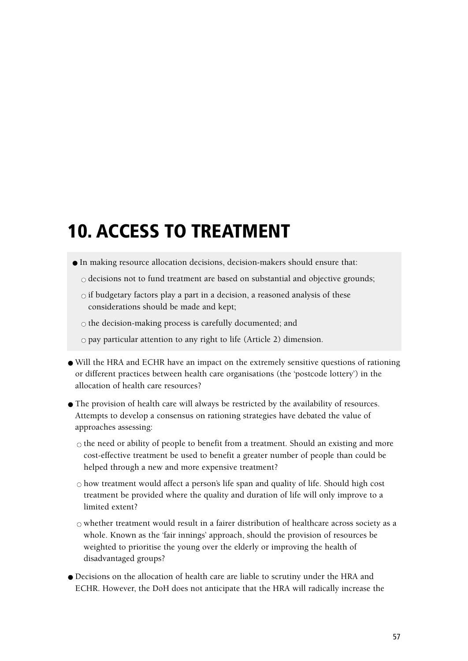# **10. ACCESS TO TREATMENT**

- In making resource allocation decisions, decision-makers should ensure that:
	- $\circ$  decisions not to fund treatment are based on substantial and objective grounds;
	- $\circ$  if budgetary factors play a part in a decision, a reasoned analysis of these considerations should be made and kept;
	- $\circ$  the decision-making process is carefully documented; and
	- $\circ$  pay particular attention to any right to life (Article 2) dimension.
- Will the HRA and ECHR have an impact on the extremely sensitive questions of rationing or different practices between health care organisations (the 'postcode lottery') in the allocation of health care resources?
- The provision of health care will always be restricted by the availability of resources. Attempts to develop a consensus on rationing strategies have debated the value of approaches assessing:
	- $\circ$  the need or ability of people to benefit from a treatment. Should an existing and more cost-effective treatment be used to benefit a greater number of people than could be helped through a new and more expensive treatment?
	- $\circ$  how treatment would affect a person's life span and quality of life. Should high cost treatment be provided where the quality and duration of life will only improve to a limited extent?
	- $\circ$  whether treatment would result in a fairer distribution of healthcare across society as a whole. Known as the 'fair innings' approach, should the provision of resources be weighted to prioritise the young over the elderly or improving the health of disadvantaged groups?
- Decisions on the allocation of health care are liable to scrutiny under the HRA and ECHR. However, the DoH does not anticipate that the HRA will radically increase the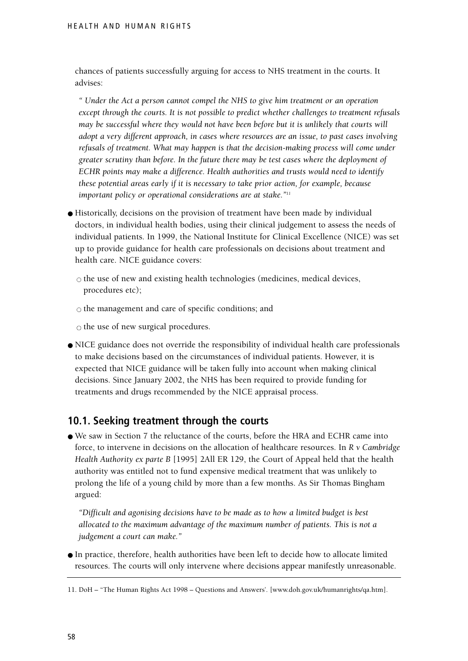chances of patients successfully arguing for access to NHS treatment in the courts. It advises:

*" Under the Act a person cannot compel the NHS to give him treatment or an operation except through the courts. It is not possible to predict whether challenges to treatment refusals may be successful where they would not have been before but it is unlikely that courts will adopt a very different approach, in cases where resources are an issue, to past cases involving refusals of treatment. What may happen is that the decision-making process will come under greater scrutiny than before. In the future there may be test cases where the deployment of ECHR points may make a difference. Health authorities and trusts would need to identify these potential areas early if it is necessary to take prior action, for example, because important policy or operational considerations are at stake."11*

- Historically, decisions on the provision of treatment have been made by individual doctors, in individual health bodies, using their clinical judgement to assess the needs of individual patients. In 1999, the National Institute for Clinical Excellence (NICE) was set up to provide guidance for health care professionals on decisions about treatment and health care. NICE guidance covers:
	- $\circ$  the use of new and existing health technologies (medicines, medical devices, procedures etc);
	- $\circ$  the management and care of specific conditions; and

 $\circ$  the use of new surgical procedures.

● NICE guidance does not override the responsibility of individual health care professionals to make decisions based on the circumstances of individual patients. However, it is expected that NICE guidance will be taken fully into account when making clinical decisions. Since January 2002, the NHS has been required to provide funding for treatments and drugs recommended by the NICE appraisal process.

### **10.1. Seeking treatment through the courts**

● We saw in Section 7 the reluctance of the courts, before the HRA and ECHR came into force, to intervene in decisions on the allocation of healthcare resources. In *R v Cambridge Health Authority ex parte B* [1995] 2All ER 129, the Court of Appeal held that the health authority was entitled not to fund expensive medical treatment that was unlikely to prolong the life of a young child by more than a few months. As Sir Thomas Bingham argued:

*"Difficult and agonising decisions have to be made as to how a limited budget is best allocated to the maximum advantage of the maximum number of patients. This is not a judgement a court can make."*

● In practice, therefore, health authorities have been left to decide how to allocate limited resources. The courts will only intervene where decisions appear manifestly unreasonable.

<sup>11.</sup> DoH – "The Human Rights Act 1998 – Questions and Answers'. [www.doh.gov.uk/humanrights/qa.htm].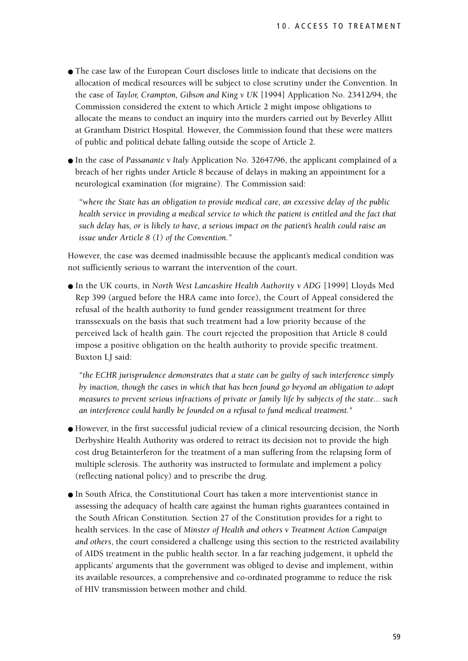- The case law of the European Court discloses little to indicate that decisions on the allocation of medical resources will be subject to close scrutiny under the Convention. In the case of *Taylor, Crampton, Gibson and King v UK* [1994] Application No. 23412/94, the Commission considered the extent to which Article 2 might impose obligations to allocate the means to conduct an inquiry into the murders carried out by Beverley Allitt at Grantham District Hospital. However, the Commission found that these were matters of public and political debate falling outside the scope of Article 2.
- In the case of *Passanante v Italy* Application No. 32647/96, the applicant complained of a breach of her rights under Article 8 because of delays in making an appointment for a neurological examination (for migraine). The Commission said:

*"where the State has an obligation to provide medical care, an excessive delay of the public health service in providing a medical service to which the patient is entitled and the fact that such delay has, or is likely to have, a serious impact on the patient's health could raise an issue under Article 8 (1) of the Convention."*

However, the case was deemed inadmissible because the applicant's medical condition was not sufficiently serious to warrant the intervention of the court.

● In the UK courts, in *North West Lancashire Health Authority v ADG* [1999] Lloyds Med Rep 399 (argued before the HRA came into force), the Court of Appeal considered the refusal of the health authority to fund gender reassignment treatment for three transsexuals on the basis that such treatment had a low priority because of the perceived lack of health gain. The court rejected the proposition that Article 8 could impose a positive obligation on the health authority to provide specific treatment. Buxton LJ said:

*"the ECHR jurisprudence demonstrates that a state can be guilty of such interference simply by inaction, though the cases in which that has been found go beyond an obligation to adopt measures to prevent serious infractions of private or family life by subjects of the state... such an interference could hardly be founded on a refusal to fund medical treatment."* 

- However, in the first successful judicial review of a clinical resourcing decision, the North Derbyshire Health Authority was ordered to retract its decision not to provide the high cost drug Betainterferon for the treatment of a man suffering from the relapsing form of multiple sclerosis. The authority was instructed to formulate and implement a policy (reflecting national policy) and to prescribe the drug.
- In South Africa, the Constitutional Court has taken a more interventionist stance in assessing the adequacy of health care against the human rights guarantees contained in the South African Constitution. Section 27 of the Constitution provides for a right to health services. In the case of *Minster of Health and others v Treatment Action Campaign and others*, the court considered a challenge using this section to the restricted availability of AIDS treatment in the public health sector. In a far reaching judgement, it upheld the applicants' arguments that the government was obliged to devise and implement, within its available resources, a comprehensive and co-ordinated programme to reduce the risk of HIV transmission between mother and child.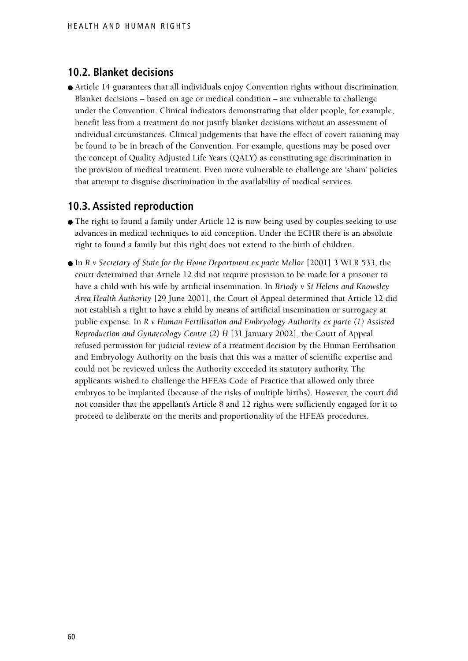#### **10.2. Blanket decisions**

● Article 14 guarantees that all individuals enjoy Convention rights without discrimination. Blanket decisions – based on age or medical condition – are vulnerable to challenge under the Convention. Clinical indicators demonstrating that older people, for example, benefit less from a treatment do not justify blanket decisions without an assessment of individual circumstances. Clinical judgements that have the effect of covert rationing may be found to be in breach of the Convention. For example, questions may be posed over the concept of Quality Adjusted Life Years (QALY) as constituting age discrimination in the provision of medical treatment. Even more vulnerable to challenge are 'sham' policies that attempt to disguise discrimination in the availability of medical services.

#### **10.3. Assisted reproduction**

- The right to found a family under Article 12 is now being used by couples seeking to use advances in medical techniques to aid conception. Under the ECHR there is an absolute right to found a family but this right does not extend to the birth of children.
- In *R v Secretary of State for the Home Department ex parte Mellor* [2001] 3 WLR 533, the court determined that Article 12 did not require provision to be made for a prisoner to have a child with his wife by artificial insemination. In *Briody v St Helens and Knowsley Area Health Authority* [29 June 2001], the Court of Appeal determined that Article 12 did not establish a right to have a child by means of artificial insemination or surrogacy at public expense. In *R v Human Fertilisation and Embryology Authority ex parte (1) Assisted Reproduction and Gynaecology Centre (2) H* [31 January 2002], the Court of Appeal refused permission for judicial review of a treatment decision by the Human Fertilisation and Embryology Authority on the basis that this was a matter of scientific expertise and could not be reviewed unless the Authority exceeded its statutory authority. The applicants wished to challenge the HFEA's Code of Practice that allowed only three embryos to be implanted (because of the risks of multiple births). However, the court did not consider that the appellant's Article 8 and 12 rights were sufficiently engaged for it to proceed to deliberate on the merits and proportionality of the HFEA's procedures.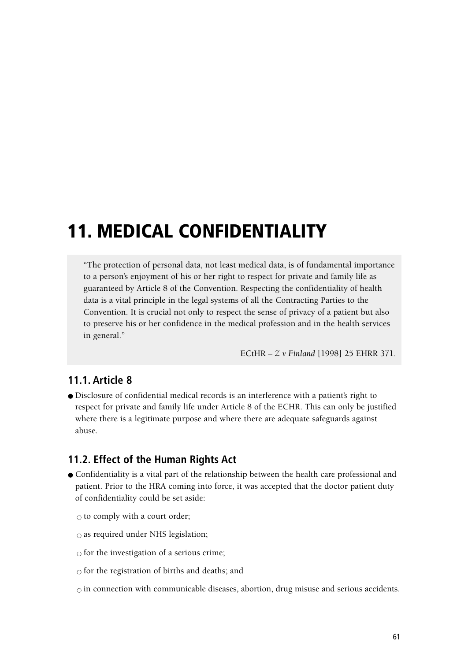# **11. MEDICAL CONFIDENTIALITY**

"The protection of personal data, not least medical data, is of fundamental importance to a person's enjoyment of his or her right to respect for private and family life as guaranteed by Article 8 of the Convention. Respecting the confidentiality of health data is a vital principle in the legal systems of all the Contracting Parties to the Convention. It is crucial not only to respect the sense of privacy of a patient but also to preserve his or her confidence in the medical profession and in the health services in general."

ECtHR – *Z v Finland* [1998] 25 EHRR 371.

# **11.1. Article 8**

● Disclosure of confidential medical records is an interference with a patient's right to respect for private and family life under Article 8 of the ECHR. This can only be justified where there is a legitimate purpose and where there are adequate safeguards against abuse.

# **11.2. Effect of the Human Rights Act**

● Confidentiality is a vital part of the relationship between the health care professional and patient. Prior to the HRA coming into force, it was accepted that the doctor patient duty of confidentiality could be set aside:

 $\circ$  to comply with a court order;

 $\circ$  as required under NHS legislation;

 $\circ$  for the investigation of a serious crime;

 $\circ$  for the registration of births and deaths; and

 $\circ$  in connection with communicable diseases, abortion, drug misuse and serious accidents.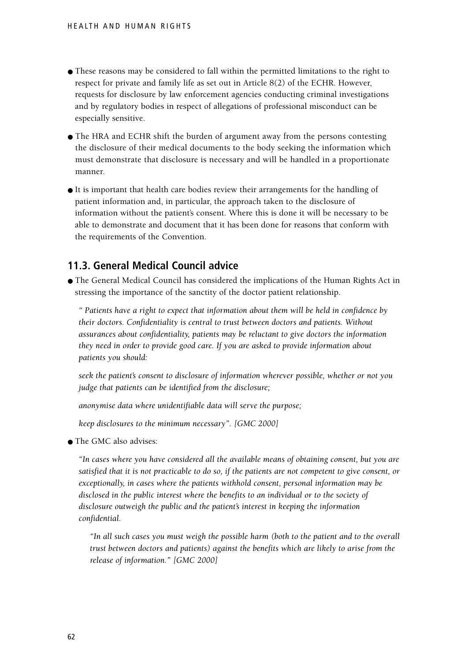- These reasons may be considered to fall within the permitted limitations to the right to respect for private and family life as set out in Article 8(2) of the ECHR. However, requests for disclosure by law enforcement agencies conducting criminal investigations and by regulatory bodies in respect of allegations of professional misconduct can be especially sensitive.
- The HRA and ECHR shift the burden of argument away from the persons contesting the disclosure of their medical documents to the body seeking the information which must demonstrate that disclosure is necessary and will be handled in a proportionate manner.
- It is important that health care bodies review their arrangements for the handling of patient information and, in particular, the approach taken to the disclosure of information without the patient's consent. Where this is done it will be necessary to be able to demonstrate and document that it has been done for reasons that conform with the requirements of the Convention.

# **11.3. General Medical Council advice**

● The General Medical Council has considered the implications of the Human Rights Act in stressing the importance of the sanctity of the doctor patient relationship.

*" Patients have a right to expect that information about them will be held in confidence by their doctors. Confidentiality is central to trust between doctors and patients. Without assurances about confidentiality, patients may be reluctant to give doctors the information they need in order to provide good care. If you are asked to provide information about patients you should:*

*seek the patient's consent to disclosure of information wherever possible, whether or not you judge that patients can be identified from the disclosure;*

*anonymise data where unidentifiable data will serve the purpose;*

*keep disclosures to the minimum necessary". [GMC 2000]*

● The GMC also advises:

*"In cases where you have considered all the available means of obtaining consent, but you are satisfied that it is not practicable to do so, if the patients are not competent to give consent, or exceptionally, in cases where the patients withhold consent, personal information may be disclosed in the public interest where the benefits to an individual or to the society of disclosure outweigh the public and the patient's interest in keeping the information confidential.*

*"In all such cases you must weigh the possible harm (both to the patient and to the overall trust between doctors and patients) against the benefits which are likely to arise from the release of information." [GMC 2000]*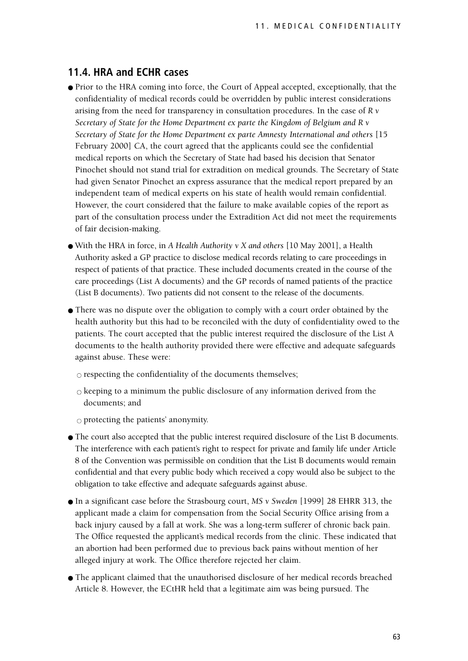#### **11.4. HRA and ECHR cases**

- Prior to the HRA coming into force, the Court of Appeal accepted, exceptionally, that the confidentiality of medical records could be overridden by public interest considerations arising from the need for transparency in consultation procedures. In the case of *R v Secretary of State for the Home Department ex parte the Kingdom of Belgium and R v Secretary of State for the Home Department ex parte Amnesty International and others* [15 February 2000] CA, the court agreed that the applicants could see the confidential medical reports on which the Secretary of State had based his decision that Senator Pinochet should not stand trial for extradition on medical grounds. The Secretary of State had given Senator Pinochet an express assurance that the medical report prepared by an independent team of medical experts on his state of health would remain confidential. However, the court considered that the failure to make available copies of the report as part of the consultation process under the Extradition Act did not meet the requirements of fair decision-making.
- With the HRA in force, in *A Health Authority v X and others* [10 May 2001], a Health Authority asked a GP practice to disclose medical records relating to care proceedings in respect of patients of that practice. These included documents created in the course of the care proceedings (List A documents) and the GP records of named patients of the practice (List B documents). Two patients did not consent to the release of the documents.
- There was no dispute over the obligation to comply with a court order obtained by the health authority but this had to be reconciled with the duty of confidentiality owed to the patients. The court accepted that the public interest required the disclosure of the List A documents to the health authority provided there were effective and adequate safeguards against abuse. These were:
	- $\circ$  respecting the confidentiality of the documents themselves;
	- $\circ$  keeping to a minimum the public disclosure of any information derived from the documents; and
	- $\circ$  protecting the patients' anonymity.
- The court also accepted that the public interest required disclosure of the List B documents. The interference with each patient's right to respect for private and family life under Article 8 of the Convention was permissible on condition that the List B documents would remain confidential and that every public body which received a copy would also be subject to the obligation to take effective and adequate safeguards against abuse.
- In a significant case before the Strasbourg court, *MS v Sweden* [1999] 28 EHRR 313, the applicant made a claim for compensation from the Social Security Office arising from a back injury caused by a fall at work. She was a long-term sufferer of chronic back pain. The Office requested the applicant's medical records from the clinic. These indicated that an abortion had been performed due to previous back pains without mention of her alleged injury at work. The Office therefore rejected her claim.
- The applicant claimed that the unauthorised disclosure of her medical records breached Article 8. However, the ECtHR held that a legitimate aim was being pursued. The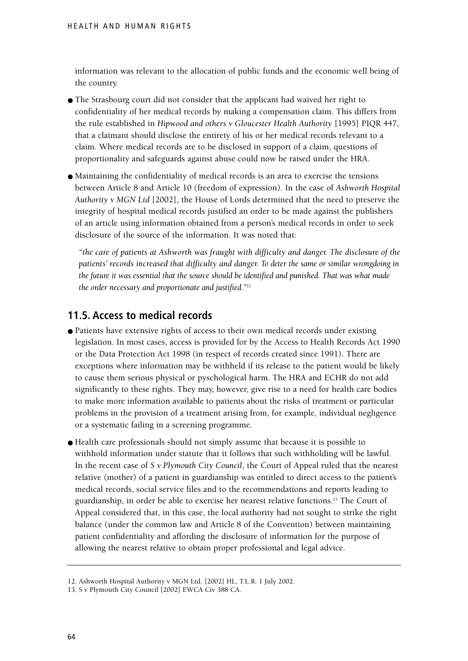information was relevant to the allocation of public funds and the economic well being of the country.

- The Strasbourg court did not consider that the applicant had waived her right to confidentiality of her medical records by making a compensation claim. This differs from the rule established in *Hipwood and others v Gloucester Health Authority* [1995] PIQR 447, that a claimant should disclose the entirety of his or her medical records relevant to a claim. Where medical records are to be disclosed in support of a claim, questions of proportionality and safeguards against abuse could now be raised under the HRA.
- Maintaining the confidentiality of medical records is an area to exercise the tensions between Article 8 and Article 10 (freedom of expression). In the case of *Ashworth Hospital Authority v MGN Ltd* [2002], the House of Lords determined that the need to preserve the integrity of hospital medical records justified an order to be made against the publishers of an article using information obtained from a person's medical records in order to seek disclosure of the source of the information. It was noted that:

*"the care of patients at Ashworth was fraught with difficulty and danger. The disclosure of the patients' records increased that difficulty and danger. To deter the same or similar wrongdoing in the future it was essential that the source should be identified and punished. That was what made the order necessary and proportionate and justified."12*

### **11.5. Access to medical records**

- Patients have extensive rights of access to their own medical records under existing legislation. In most cases, access is provided for by the Access to Health Records Act 1990 or the Data Protection Act 1998 (in respect of records created since 1991). There are exceptions where information may be withheld if its release to the patient would be likely to cause them serious physical or pyschological harm. The HRA and ECHR do not add significantly to these rights. They may, however, give rise to a need for health care bodies to make more information available to patients about the risks of treatment or particular problems in the provision of a treatment arising from, for example, individual negligence or a systematic failing in a screening programme.
- Health care professionals should not simply assume that because it is possible to withhold information under statute that it follows that such withholding will be lawful. In the recent case of *S v Plymouth City Council*, the Court of Appeal ruled that the nearest relative (mother) of a patient in guardianship was entitled to direct access to the patient's medical records, social service files and to the recommendations and reports leading to guardianship, in order be able to exercise her nearest relative functions.13 The Court of Appeal considered that, in this case, the local authority had not sought to strike the right balance (under the common law and Article 8 of the Convention) between maintaining patient confidentiality and affording the disclosure of information for the purpose of allowing the nearest relative to obtain proper professional and legal advice.

<sup>12.</sup> Ashworth Hospital Authority v MGN Ltd. [2002] HL, T.L.R. 1 July 2002.

<sup>13.</sup> S v Plymouth City Council [2002] EWCA Civ 388 CA.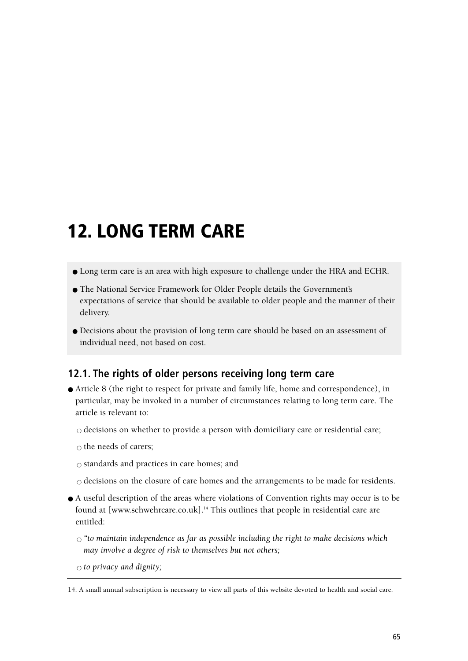# **12. LONG TERM CARE**

- Long term care is an area with high exposure to challenge under the HRA and ECHR.
- The National Service Framework for Older People details the Government's expectations of service that should be available to older people and the manner of their delivery.
- Decisions about the provision of long term care should be based on an assessment of individual need, not based on cost.

## **12.1. The rights of older persons receiving long term care**

● Article 8 (the right to respect for private and family life, home and correspondence), in particular, may be invoked in a number of circumstances relating to long term care. The article is relevant to:

 $\circ$  decisions on whether to provide a person with domiciliary care or residential care;

 $\circ$  the needs of carers;

 $\circ$  standards and practices in care homes; and

- $\circ$  decisions on the closure of care homes and the arrangements to be made for residents.
- A useful description of the areas where violations of Convention rights may occur is to be found at [www.schwehrcare.co.uk].<sup>14</sup> This outlines that people in residential care are entitled:

 $\circ$  "to maintain independence as far as possible including the right to make decisions which *may involve a degree of risk to themselves but not others;*

 $\circ$  *to privacy and dignity*;

<sup>14.</sup> A small annual subscription is necessary to view all parts of this website devoted to health and social care.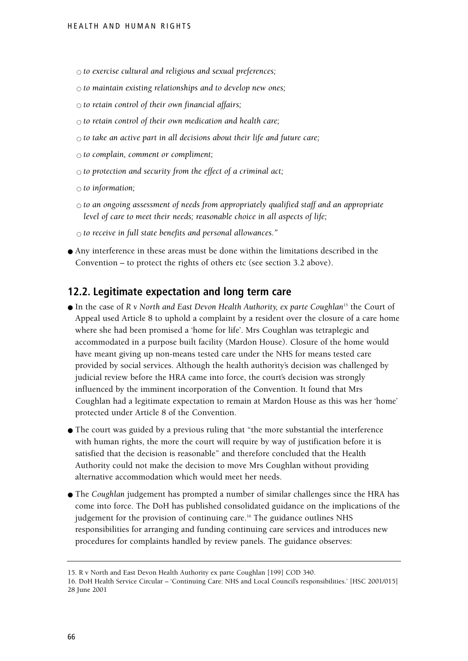- $\circ$  *to exercise cultural and religious and sexual preferences;*
- $\circ$  *to maintain existing relationships and to develop new ones;*
- $\circ$  *to retain control of their own financial affairs;*
- $\circ$  to retain control of their own medication and health care;
- $\circ$  to take an active part in all decisions about their life and future care;
- $\circ$  *to complain, comment or compliment;*
- $\circ$  *to protection and security from the effect of a criminal act*;
- $\circ$  *to information*;
- $\circ$  to an ongoing assessment of needs from appropriately qualified staff and an appropriate *level of care to meet their needs; reasonable choice in all aspects of life;*
- $\circ$  to receive in full state benefits and personal allowances."
- Any interference in these areas must be done within the limitations described in the Convention – to protect the rights of others etc (see section 3.2 above).

#### **12.2. Legitimate expectation and long term care**

- In the case of *R v North and East Devon Health Authority, ex parte Coughlan*<sup>15</sup> the Court of Appeal used Article 8 to uphold a complaint by a resident over the closure of a care home where she had been promised a 'home for life'. Mrs Coughlan was tetraplegic and accommodated in a purpose built facility (Mardon House). Closure of the home would have meant giving up non-means tested care under the NHS for means tested care provided by social services. Although the health authority's decision was challenged by judicial review before the HRA came into force, the court's decision was strongly influenced by the imminent incorporation of the Convention. It found that Mrs Coughlan had a legitimate expectation to remain at Mardon House as this was her 'home' protected under Article 8 of the Convention.
- The court was guided by a previous ruling that "the more substantial the interference with human rights, the more the court will require by way of justification before it is satisfied that the decision is reasonable" and therefore concluded that the Health Authority could not make the decision to move Mrs Coughlan without providing alternative accommodation which would meet her needs.
- The *Coughlan* judgement has prompted a number of similar challenges since the HRA has come into force. The DoH has published consolidated guidance on the implications of the judgement for the provision of continuing care.<sup>16</sup> The guidance outlines NHS responsibilities for arranging and funding continuing care services and introduces new procedures for complaints handled by review panels. The guidance observes:

<sup>15.</sup> R v North and East Devon Health Authority ex parte Coughlan [199] COD 340.

<sup>16.</sup> DoH Health Service Circular – 'Continuing Care: NHS and Local Council's responsibilities.' [HSC 2001/015] 28 June 2001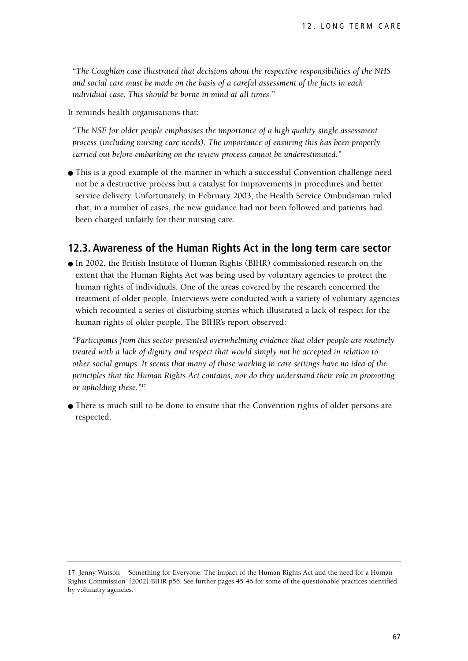*"The Coughlan case illustrated that decisions about the respective responsibilities of the NHS and social care must be made on the basis of a careful assessment of the facts in each individual case. This should be borne in mind at all times."*

It reminds health organisations that:

*"The NSF for older people emphasises the importance of a high quality single assessment process (including nursing care needs). The importance of ensuring this has been properly carried out before embarking on the review process cannot be underestimated."*

● This is a good example of the manner in which a successful Convention challenge need not be a destructive process but a catalyst for improvements in procedures and better service delivery. Unfortunately, in February 2003, the Health Service Ombudsman ruled that, in a number of cases, the new guidance had not been followed and patients had been charged unfairly for their nursing care.

#### **12.3. Awareness of the Human Rights Act in the long term care sector**

● In 2002, the British Institute of Human Rights (BIHR) commissioned research on the extent that the Human Rights Act was being used by voluntary agencies to protect the human rights of individuals. One of the areas covered by the research concerned the treatment of older people. Interviews were conducted with a variety of voluntary agencies which recounted a series of disturbing stories which illustrated a lack of respect for the human rights of older people. The BIHR's report observed:

*"Participants from this sector presented overwhelming evidence that older people are routinely treated with a lack of dignity and respect that would simply not be accepted in relation to other social groups. It seems that many of those working in care settings have no idea of the principles that the Human Rights Act contains, nor do they understand their role in promoting or upholding these."*<sup>17</sup>

● There is much still to be done to ensure that the Convention rights of older persons are respected.

<sup>17.</sup> Jenny Watson – 'Something for Everyone: The impact of the Human Rights Act and the need for a Human Rights Commission' [2002] BIHR p56. See further pages 45-46 for some of the questionable practices identified by volunatry agencies.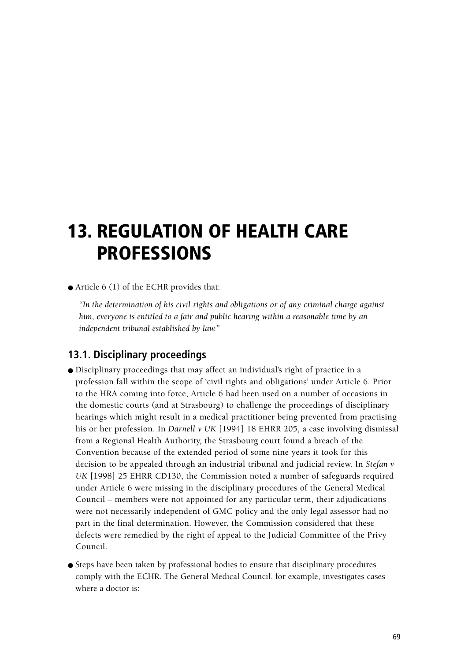# **13. REGULATION OF HEALTH CARE PROFESSIONS**

 $\bullet$  Article 6 (1) of the ECHR provides that:

*"In the determination of his civil rights and obligations or of any criminal charge against him, everyone is entitled to a fair and public hearing within a reasonable time by an independent tribunal established by law."*

### **13.1. Disciplinary proceedings**

- Disciplinary proceedings that may affect an individual's right of practice in a profession fall within the scope of 'civil rights and obligations' under Article 6. Prior to the HRA coming into force, Article 6 had been used on a number of occasions in the domestic courts (and at Strasbourg) to challenge the proceedings of disciplinary hearings which might result in a medical practitioner being prevented from practising his or her profession. In *Darnell v UK* [1994] 18 EHRR 205, a case involving dismissal from a Regional Health Authority, the Strasbourg court found a breach of the Convention because of the extended period of some nine years it took for this decision to be appealed through an industrial tribunal and judicial review. In *Stefan v UK* [1998] 25 EHRR CD130, the Commission noted a number of safeguards required under Article 6 were missing in the disciplinary procedures of the General Medical Council – members were not appointed for any particular term, their adjudications were not necessarily independent of GMC policy and the only legal assessor had no part in the final determination. However, the Commission considered that these defects were remedied by the right of appeal to the Judicial Committee of the Privy Council.
- Steps have been taken by professional bodies to ensure that disciplinary procedures comply with the ECHR. The General Medical Council, for example, investigates cases where a doctor is: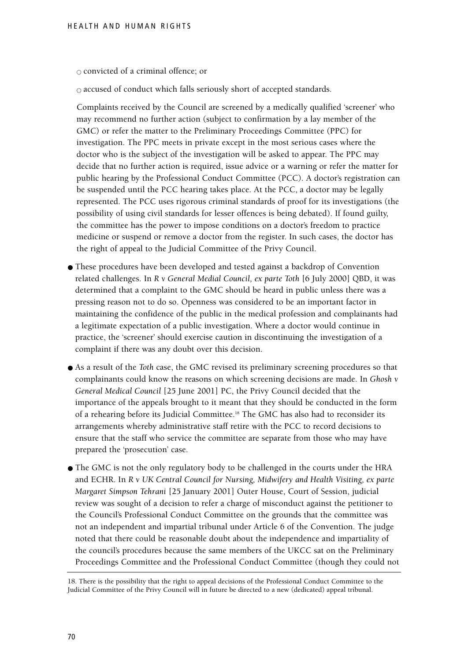$\circ$  convicted of a criminal offence; or

 $\circ$  accused of conduct which falls seriously short of accepted standards.

Complaints received by the Council are screened by a medically qualified 'screener' who may recommend no further action (subject to confirmation by a lay member of the GMC) or refer the matter to the Preliminary Proceedings Committee (PPC) for investigation. The PPC meets in private except in the most serious cases where the doctor who is the subject of the investigation will be asked to appear. The PPC may decide that no further action is required, issue advice or a warning or refer the matter for public hearing by the Professional Conduct Committee (PCC). A doctor's registration can be suspended until the PCC hearing takes place. At the PCC, a doctor may be legally represented. The PCC uses rigorous criminal standards of proof for its investigations (the possibility of using civil standards for lesser offences is being debated). If found guilty, the committee has the power to impose conditions on a doctor's freedom to practice medicine or suspend or remove a doctor from the register. In such cases, the doctor has the right of appeal to the Judicial Committee of the Privy Council.

- These procedures have been developed and tested against a backdrop of Convention related challenges. In *R v General Medial Council, ex parte Toth* [6 July 2000] QBD, it was determined that a complaint to the GMC should be heard in public unless there was a pressing reason not to do so. Openness was considered to be an important factor in maintaining the confidence of the public in the medical profession and complainants had a legitimate expectation of a public investigation. Where a doctor would continue in practice, the 'screener' should exercise caution in discontinuing the investigation of a complaint if there was any doubt over this decision.
- As a result of the *Toth* case, the GMC revised its preliminary screening procedures so that complainants could know the reasons on which screening decisions are made. In *Ghosh v General Medical Council* [25 June 2001] PC, the Privy Council decided that the importance of the appeals brought to it meant that they should be conducted in the form of a rehearing before its Judicial Committee.18 The GMC has also had to reconsider its arrangements whereby administrative staff retire with the PCC to record decisions to ensure that the staff who service the committee are separate from those who may have prepared the 'prosecution' case.
- The GMC is not the only regulatory body to be challenged in the courts under the HRA and ECHR. In *R v UK Central Council for Nursing, Midwifery and Health Visiting, ex parte Margaret Simpson Tehrani* [25 January 2001] Outer House, Court of Session, judicial review was sought of a decision to refer a charge of misconduct against the petitioner to the Council's Professional Conduct Committee on the grounds that the committee was not an independent and impartial tribunal under Article 6 of the Convention. The judge noted that there could be reasonable doubt about the independence and impartiality of the council's procedures because the same members of the UKCC sat on the Preliminary Proceedings Committee and the Professional Conduct Committee (though they could not

<sup>18.</sup> There is the possibility that the right to appeal decisions of the Professional Conduct Committee to the Judicial Committee of the Privy Council will in future be directed to a new (dedicated) appeal tribunal.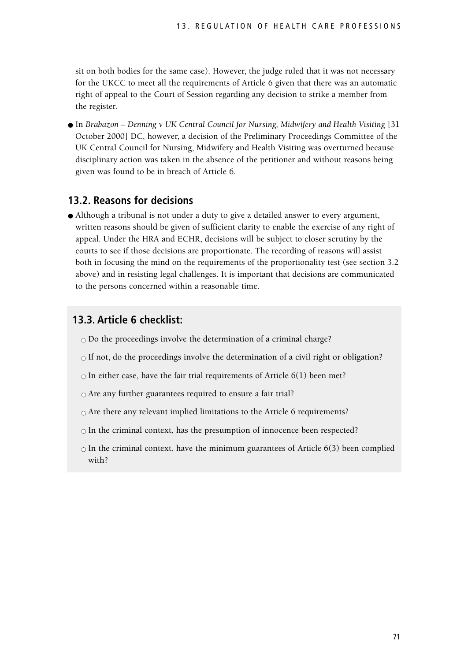sit on both bodies for the same case). However, the judge ruled that it was not necessary for the UKCC to meet all the requirements of Article 6 given that there was an automatic right of appeal to the Court of Session regarding any decision to strike a member from the register.

● In *Brabazon – Denning v UK Central Council for Nursing, Midwifery and Health Visiting* [31] October 2000] DC, however, a decision of the Preliminary Proceedings Committee of the UK Central Council for Nursing, Midwifery and Health Visiting was overturned because disciplinary action was taken in the absence of the petitioner and without reasons being given was found to be in breach of Article 6.

## **13.2. Reasons for decisions**

● Although a tribunal is not under a duty to give a detailed answer to every argument, written reasons should be given of sufficient clarity to enable the exercise of any right of appeal. Under the HRA and ECHR, decisions will be subject to closer scrutiny by the courts to see if those decisions are proportionate. The recording of reasons will assist both in focusing the mind on the requirements of the proportionality test (see section 3.2 above) and in resisting legal challenges. It is important that decisions are communicated to the persons concerned within a reasonable time.

## **13.3. Article 6 checklist:**

 $\circ$  Do the proceedings involve the determination of a criminal charge?

- $\circ$  If not, do the proceedings involve the determination of a civil right or obligation?
- $\circ$  In either case, have the fair trial requirements of Article 6(1) been met?
- $\circ$  Are any further guarantees required to ensure a fair trial?
- $\circ$  Are there any relevant implied limitations to the Article 6 requirements?
- $\circ$  In the criminal context, has the presumption of innocence been respected?
- $\circ$  In the criminal context, have the minimum guarantees of Article 6(3) been complied with?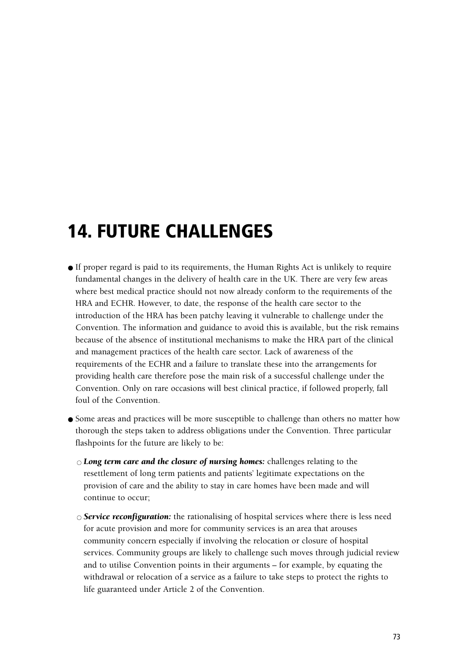# **14. FUTURE CHALLENGES**

- If proper regard is paid to its requirements, the Human Rights Act is unlikely to require fundamental changes in the delivery of health care in the UK. There are very few areas where best medical practice should not now already conform to the requirements of the HRA and ECHR. However, to date, the response of the health care sector to the introduction of the HRA has been patchy leaving it vulnerable to challenge under the Convention. The information and guidance to avoid this is available, but the risk remains because of the absence of institutional mechanisms to make the HRA part of the clinical and management practices of the health care sector. Lack of awareness of the requirements of the ECHR and a failure to translate these into the arrangements for providing health care therefore pose the main risk of a successful challenge under the Convention. Only on rare occasions will best clinical practice, if followed properly, fall foul of the Convention.
- Some areas and practices will be more susceptible to challenge than others no matter how thorough the steps taken to address obligations under the Convention. Three particular flashpoints for the future are likely to be:
	- $\circ$  *Long term care and the closure of nursing homes:* challenges relating to the resettlement of long term patients and patients' legitimate expectations on the provision of care and the ability to stay in care homes have been made and will continue to occur;
	- *Service reconfiguration:* the rationalising of hospital services where there is less need for acute provision and more for community services is an area that arouses community concern especially if involving the relocation or closure of hospital services. Community groups are likely to challenge such moves through judicial review and to utilise Convention points in their arguments – for example, by equating the withdrawal or relocation of a service as a failure to take steps to protect the rights to life guaranteed under Article 2 of the Convention.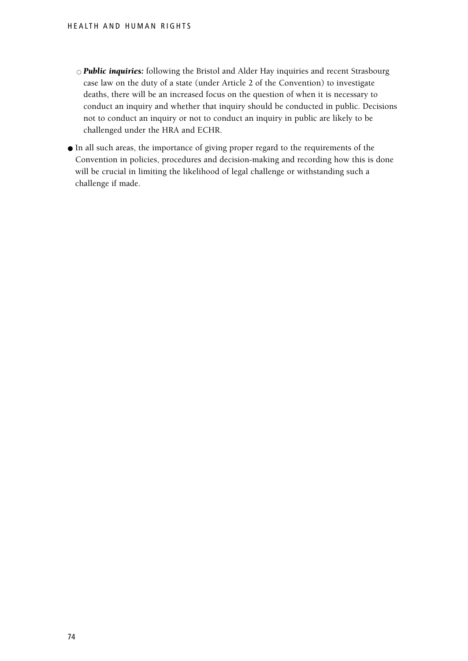- *Public inquiries:* following the Bristol and Alder Hay inquiries and recent Strasbourg case law on the duty of a state (under Article 2 of the Convention) to investigate deaths, there will be an increased focus on the question of when it is necessary to conduct an inquiry and whether that inquiry should be conducted in public. Decisions not to conduct an inquiry or not to conduct an inquiry in public are likely to be challenged under the HRA and ECHR.
- In all such areas, the importance of giving proper regard to the requirements of the Convention in policies, procedures and decision-making and recording how this is done will be crucial in limiting the likelihood of legal challenge or withstanding such a challenge if made.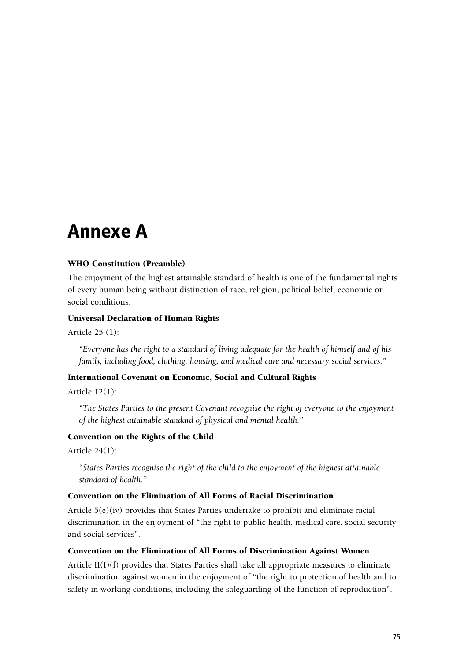# **Annexe A**

## WHO Constitution (Preamble)

The enjoyment of the highest attainable standard of health is one of the fundamental rights of every human being without distinction of race, religion, political belief, economic or social conditions.

#### Universal Declaration of Human Rights

Article 25 (1):

*"Everyone has the right to a standard of living adequate for the health of himself and of his family, including food, clothing, housing, and medical care and necessary social services."*

## International Covenant on Economic, Social and Cultural Rights

Article 12(1):

*"The States Parties to the present Covenant recognise the right of everyone to the enjoyment of the highest attainable standard of physical and mental health."*

## Convention on the Rights of the Child

Article 24(1):

*"States Parties recognise the right of the child to the enjoyment of the highest attainable standard of health."*

### Convention on the Elimination of All Forms of Racial Discrimination

Article 5(e)(iv) provides that States Parties undertake to prohibit and eliminate racial discrimination in the enjoyment of "the right to public health, medical care, social security and social services".

#### Convention on the Elimination of All Forms of Discrimination Against Women

Article II(I)(f) provides that States Parties shall take all appropriate measures to eliminate discrimination against women in the enjoyment of "the right to protection of health and to safety in working conditions, including the safeguarding of the function of reproduction".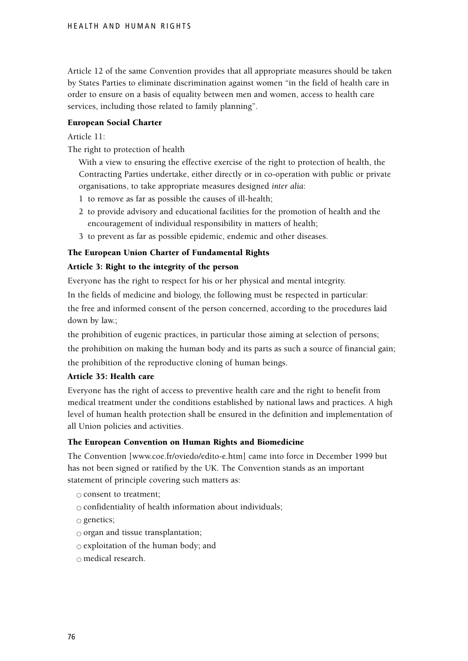Article 12 of the same Convention provides that all appropriate measures should be taken by States Parties to eliminate discrimination against women "in the field of health care in order to ensure on a basis of equality between men and women, access to health care services, including those related to family planning".

## European Social Charter

Article 11:

The right to protection of health

With a view to ensuring the effective exercise of the right to protection of health, the Contracting Parties undertake, either directly or in co-operation with public or private organisations, to take appropriate measures designed *inter alia*:

- 1 to remove as far as possible the causes of ill-health;
- 2 to provide advisory and educational facilities for the promotion of health and the encouragement of individual responsibility in matters of health;
- 3 to prevent as far as possible epidemic, endemic and other diseases.

# The European Union Charter of Fundamental Rights

# Article 3: Right to the integrity of the person

Everyone has the right to respect for his or her physical and mental integrity.

In the fields of medicine and biology, the following must be respected in particular:

the free and informed consent of the person concerned, according to the procedures laid down by law.;

the prohibition of eugenic practices, in particular those aiming at selection of persons; the prohibition on making the human body and its parts as such a source of financial gain; the prohibition of the reproductive cloning of human beings.

# Article 35: Health care

Everyone has the right of access to preventive health care and the right to benefit from medical treatment under the conditions established by national laws and practices. A high level of human health protection shall be ensured in the definition and implementation of all Union policies and activities.

#### The European Convention on Human Rights and Biomedicine

The Convention [www.coe.fr/oviedo/edito-e.htm] came into force in December 1999 but has not been signed or ratified by the UK. The Convention stands as an important statement of principle covering such matters as:

 $\circ$  consent to treatment;

 $\circ$  confidentiality of health information about individuals;

 $\circ$  genetics;

 $\circ$  organ and tissue transplantation;

 $\circ$  exploitation of the human body; and

 $\circ$  medical research.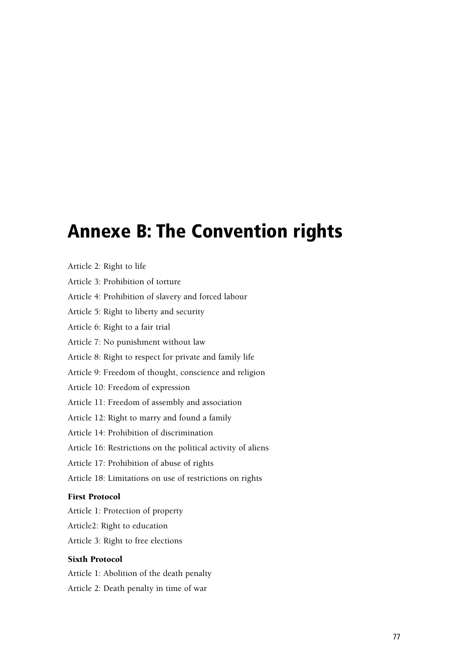# **Annexe B: The Convention rights**

| Article 2: Right to life |  |  |  |  |
|--------------------------|--|--|--|--|
|--------------------------|--|--|--|--|

Article 3: Prohibition of torture

Article 4: Prohibition of slavery and forced labour

Article 5: Right to liberty and security

Article 6: Right to a fair trial

Article 7: No punishment without law

Article 8: Right to respect for private and family life

Article 9: Freedom of thought, conscience and religion

Article 10: Freedom of expression

Article 11: Freedom of assembly and association

Article 12: Right to marry and found a family

Article 14: Prohibition of discrimination

Article 16: Restrictions on the political activity of aliens

Article 17: Prohibition of abuse of rights

Article 18: Limitations on use of restrictions on rights

# First Protocol

Article 1: Protection of property

Article2: Right to education

Article 3: Right to free elections

#### Sixth Protocol

Article 1: Abolition of the death penalty Article 2: Death penalty in time of war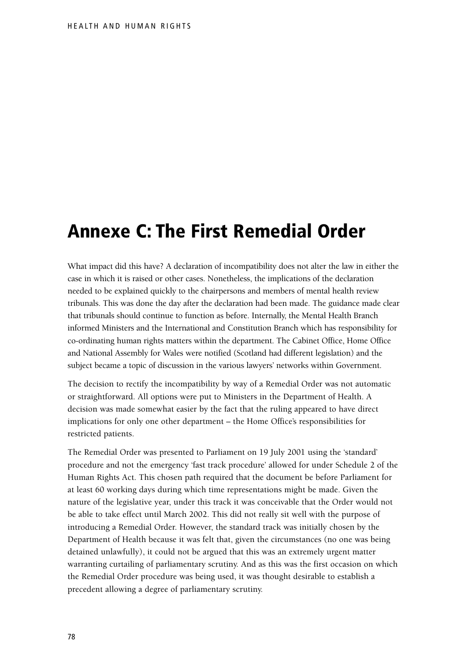# **Annexe C: The First Remedial Order**

What impact did this have? A declaration of incompatibility does not alter the law in either the case in which it is raised or other cases. Nonetheless, the implications of the declaration needed to be explained quickly to the chairpersons and members of mental health review tribunals. This was done the day after the declaration had been made. The guidance made clear that tribunals should continue to function as before. Internally, the Mental Health Branch informed Ministers and the International and Constitution Branch which has responsibility for co-ordinating human rights matters within the department. The Cabinet Office, Home Office and National Assembly for Wales were notified (Scotland had different legislation) and the subject became a topic of discussion in the various lawyers' networks within Government.

The decision to rectify the incompatibility by way of a Remedial Order was not automatic or straightforward. All options were put to Ministers in the Department of Health. A decision was made somewhat easier by the fact that the ruling appeared to have direct implications for only one other department – the Home Office's responsibilities for restricted patients.

The Remedial Order was presented to Parliament on 19 July 2001 using the 'standard' procedure and not the emergency 'fast track procedure' allowed for under Schedule 2 of the Human Rights Act. This chosen path required that the document be before Parliament for at least 60 working days during which time representations might be made. Given the nature of the legislative year, under this track it was conceivable that the Order would not be able to take effect until March 2002. This did not really sit well with the purpose of introducing a Remedial Order. However, the standard track was initially chosen by the Department of Health because it was felt that, given the circumstances (no one was being detained unlawfully), it could not be argued that this was an extremely urgent matter warranting curtailing of parliamentary scrutiny. And as this was the first occasion on which the Remedial Order procedure was being used, it was thought desirable to establish a precedent allowing a degree of parliamentary scrutiny.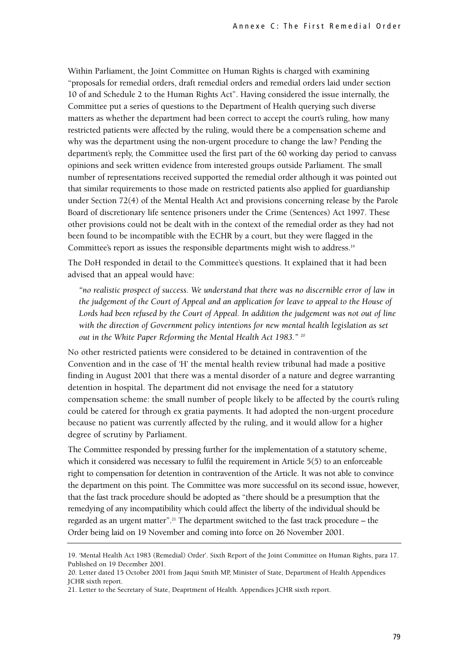Within Parliament, the Joint Committee on Human Rights is charged with examining "proposals for remedial orders, draft remedial orders and remedial orders laid under section 10 of and Schedule 2 to the Human Rights Act". Having considered the issue internally, the Committee put a series of questions to the Department of Health querying such diverse matters as whether the department had been correct to accept the court's ruling, how many restricted patients were affected by the ruling, would there be a compensation scheme and why was the department using the non-urgent procedure to change the law? Pending the department's reply, the Committee used the first part of the 60 working day period to canvass opinions and seek written evidence from interested groups outside Parliament. The small number of representations received supported the remedial order although it was pointed out that similar requirements to those made on restricted patients also applied for guardianship under Section 72(4) of the Mental Health Act and provisions concerning release by the Parole Board of discretionary life sentence prisoners under the Crime (Sentences) Act 1997. These other provisions could not be dealt with in the context of the remedial order as they had not been found to be incompatible with the ECHR by a court, but they were flagged in the Committee's report as issues the responsible departments might wish to address.19

The DoH responded in detail to the Committee's questions. It explained that it had been advised that an appeal would have:

*"no realistic prospect of success. We understand that there was no discernible error of law in the judgement of the Court of Appeal and an application for leave to appeal to the House of Lords had been refused by the Court of Appeal. In addition the judgement was not out of line with the direction of Government policy intentions for new mental health legislation as set out in the White Paper Reforming the Mental Health Act 1983."* <sup>20</sup>

No other restricted patients were considered to be detained in contravention of the Convention and in the case of 'H' the mental health review tribunal had made a positive finding in August 2001 that there was a mental disorder of a nature and degree warranting detention in hospital. The department did not envisage the need for a statutory compensation scheme: the small number of people likely to be affected by the court's ruling could be catered for through ex gratia payments. It had adopted the non-urgent procedure because no patient was currently affected by the ruling, and it would allow for a higher degree of scrutiny by Parliament.

The Committee responded by pressing further for the implementation of a statutory scheme, which it considered was necessary to fulfil the requirement in Article 5(5) to an enforceable right to compensation for detention in contravention of the Article. It was not able to convince the department on this point. The Committee was more successful on its second issue, however, that the fast track procedure should be adopted as "there should be a presumption that the remedying of any incompatibility which could affect the liberty of the individual should be regarded as an urgent matter". <sup>21</sup> The department switched to the fast track procedure – the Order being laid on 19 November and coming into force on 26 November 2001.

<sup>19. &#</sup>x27;Mental Health Act 1983 (Remedial) Order'. Sixth Report of the Joint Committee on Human Rights, para 17. Published on 19 December 2001.

<sup>20.</sup> Letter dated 15 October 2001 from Jaqui Smith MP, Minister of State, Department of Health Appendices JCHR sixth report.

<sup>21.</sup> Letter to the Secretary of State, Deaprtment of Health. Appendices JCHR sixth report.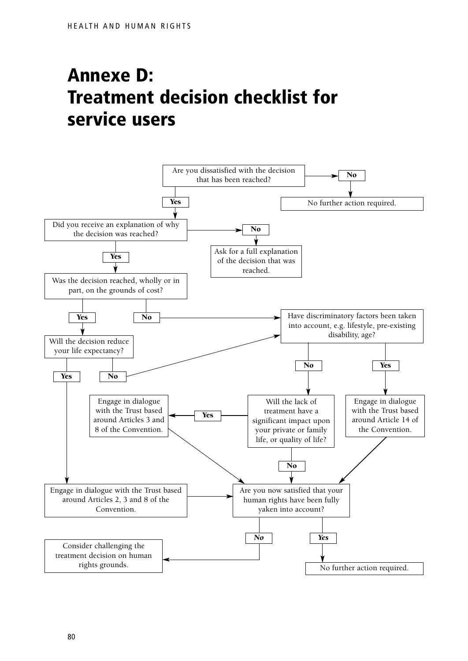# **Annexe D: Treatment decision checklist for service users**

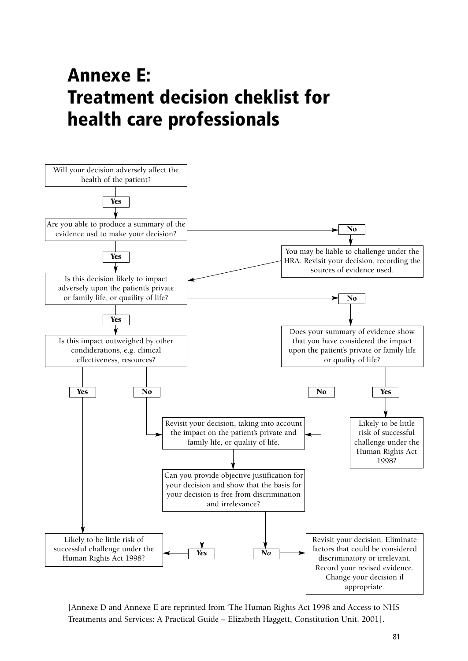# **Annexe E: Treatment decision cheklist for health care professionals**



[Annexe D and Annexe E are reprinted from 'The Human Rights Act 1998 and Access to NHS Treatments and Services: A Practical Guide – Elizabeth Haggett, Constitution Unit. 2001].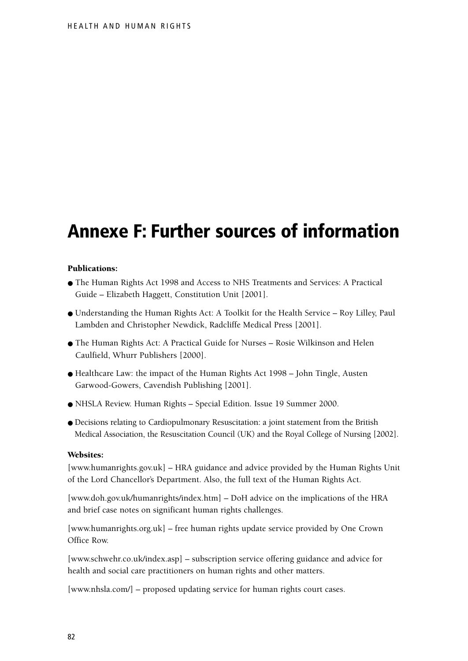# **Annexe F: Further sources of information**

#### Publications:

- The Human Rights Act 1998 and Access to NHS Treatments and Services: A Practical Guide – Elizabeth Haggett, Constitution Unit [2001].
- Understanding the Human Rights Act: A Toolkit for the Health Service Roy Lilley, Paul Lambden and Christopher Newdick, Radcliffe Medical Press [2001].
- The Human Rights Act: A Practical Guide for Nurses Rosie Wilkinson and Helen Caulfield, Whurr Publishers [2000].
- Healthcare Law: the impact of the Human Rights Act 1998 John Tingle, Austen Garwood-Gowers, Cavendish Publishing [2001].
- NHSLA Review. Human Rights Special Edition. Issue 19 Summer 2000.
- Decisions relating to Cardiopulmonary Resuscitation: a joint statement from the British Medical Association, the Resuscitation Council (UK) and the Royal College of Nursing [2002].

## Websites:

[www.humanrights.gov.uk] – HRA guidance and advice provided by the Human Rights Unit of the Lord Chancellor's Department. Also, the full text of the Human Rights Act.

[www.doh.gov.uk/humanrights/index.htm] – DoH advice on the implications of the HRA and brief case notes on significant human rights challenges.

[www.humanrights.org.uk] – free human rights update service provided by One Crown Office Row.

[www.schwehr.co.uk/index.asp] – subscription service offering guidance and advice for health and social care practitioners on human rights and other matters.

[www.nhsla.com/] – proposed updating service for human rights court cases.